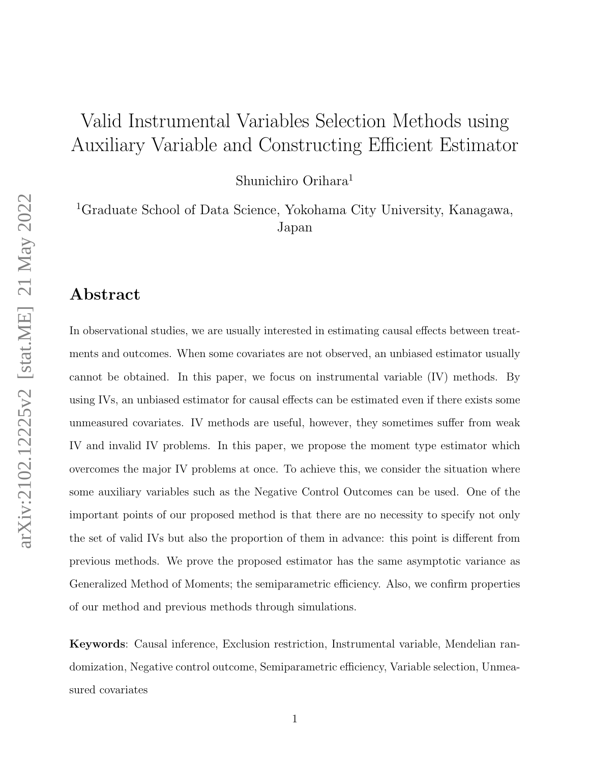# Valid Instrumental Variables Selection Methods using Auxiliary Variable and Constructing Efficient Estimator

Shunichiro Orihara<sup>1</sup>

<sup>1</sup>Graduate School of Data Science, Yokohama City University, Kanagawa, Japan

# Abstract

In observational studies, we are usually interested in estimating causal effects between treatments and outcomes. When some covariates are not observed, an unbiased estimator usually cannot be obtained. In this paper, we focus on instrumental variable (IV) methods. By using IVs, an unbiased estimator for causal effects can be estimated even if there exists some unmeasured covariates. IV methods are useful, however, they sometimes suffer from weak IV and invalid IV problems. In this paper, we propose the moment type estimator which overcomes the major IV problems at once. To achieve this, we consider the situation where some auxiliary variables such as the Negative Control Outcomes can be used. One of the important points of our proposed method is that there are no necessity to specify not only the set of valid IVs but also the proportion of them in advance: this point is different from previous methods. We prove the proposed estimator has the same asymptotic variance as Generalized Method of Moments; the semiparametric efficiency. Also, we confirm properties of our method and previous methods through simulations.

Keywords: Causal inference, Exclusion restriction, Instrumental variable, Mendelian randomization, Negative control outcome, Semiparametric efficiency, Variable selection, Unmeasured covariates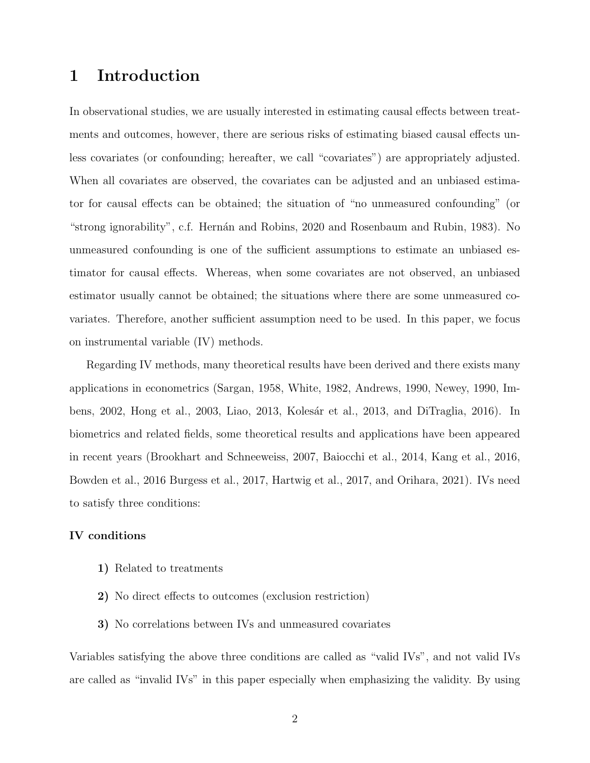# 1 Introduction

In observational studies, we are usually interested in estimating causal effects between treatments and outcomes, however, there are serious risks of estimating biased causal effects unless covariates (or confounding; hereafter, we call "covariates") are appropriately adjusted. When all covariates are observed, the covariates can be adjusted and an unbiased estimator for causal effects can be obtained; the situation of "no unmeasured confounding" (or "strong ignorability", c.f. Hernán and Robins, 2020 and Rosenbaum and Rubin, 1983). No unmeasured confounding is one of the sufficient assumptions to estimate an unbiased estimator for causal effects. Whereas, when some covariates are not observed, an unbiased estimator usually cannot be obtained; the situations where there are some unmeasured covariates. Therefore, another sufficient assumption need to be used. In this paper, we focus on instrumental variable (IV) methods.

Regarding IV methods, many theoretical results have been derived and there exists many applications in econometrics (Sargan, 1958, White, 1982, Andrews, 1990, Newey, 1990, Imbens, 2002, Hong et al., 2003, Liao, 2013, Kolesár et al., 2013, and DiTraglia, 2016). In biometrics and related fields, some theoretical results and applications have been appeared in recent years (Brookhart and Schneeweiss, 2007, Baiocchi et al., 2014, Kang et al., 2016, Bowden et al., 2016 Burgess et al., 2017, Hartwig et al., 2017, and Orihara, 2021). IVs need to satisfy three conditions:

### IV conditions

- 1) Related to treatments
- 2) No direct effects to outcomes (exclusion restriction)
- 3) No correlations between IVs and unmeasured covariates

Variables satisfying the above three conditions are called as "valid IVs", and not valid IVs are called as "invalid IVs" in this paper especially when emphasizing the validity. By using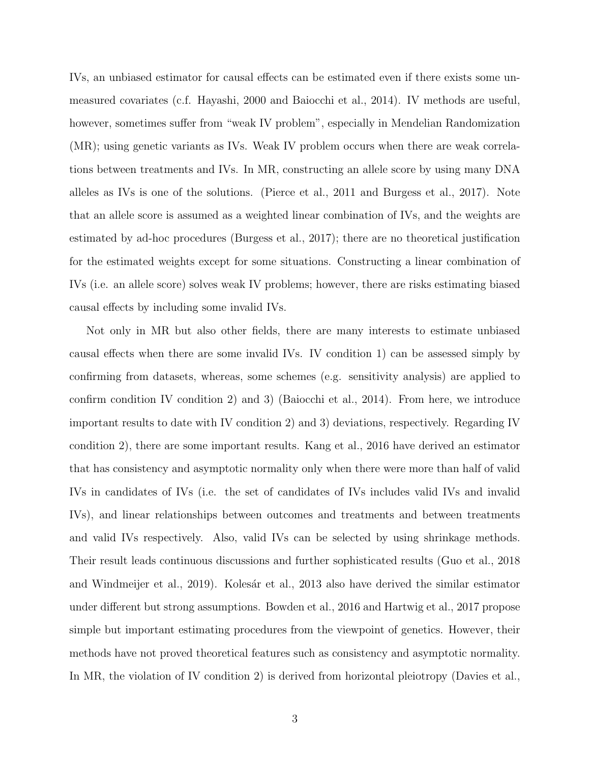IVs, an unbiased estimator for causal effects can be estimated even if there exists some unmeasured covariates (c.f. Hayashi, 2000 and Baiocchi et al., 2014). IV methods are useful, however, sometimes suffer from "weak IV problem", especially in Mendelian Randomization (MR); using genetic variants as IVs. Weak IV problem occurs when there are weak correlations between treatments and IVs. In MR, constructing an allele score by using many DNA alleles as IVs is one of the solutions. (Pierce et al., 2011 and Burgess et al., 2017). Note that an allele score is assumed as a weighted linear combination of IVs, and the weights are estimated by ad-hoc procedures (Burgess et al., 2017); there are no theoretical justification for the estimated weights except for some situations. Constructing a linear combination of IVs (i.e. an allele score) solves weak IV problems; however, there are risks estimating biased causal effects by including some invalid IVs.

Not only in MR but also other fields, there are many interests to estimate unbiased causal effects when there are some invalid IVs. IV condition 1) can be assessed simply by confirming from datasets, whereas, some schemes (e.g. sensitivity analysis) are applied to confirm condition IV condition 2) and 3) (Baiocchi et al., 2014). From here, we introduce important results to date with IV condition 2) and 3) deviations, respectively. Regarding IV condition 2), there are some important results. Kang et al., 2016 have derived an estimator that has consistency and asymptotic normality only when there were more than half of valid IVs in candidates of IVs (i.e. the set of candidates of IVs includes valid IVs and invalid IVs), and linear relationships between outcomes and treatments and between treatments and valid IVs respectively. Also, valid IVs can be selected by using shrinkage methods. Their result leads continuous discussions and further sophisticated results (Guo et al., 2018 and Windmeijer et al., 2019). Kolesár et al., 2013 also have derived the similar estimator under different but strong assumptions. Bowden et al., 2016 and Hartwig et al., 2017 propose simple but important estimating procedures from the viewpoint of genetics. However, their methods have not proved theoretical features such as consistency and asymptotic normality. In MR, the violation of IV condition 2) is derived from horizontal pleiotropy (Davies et al.,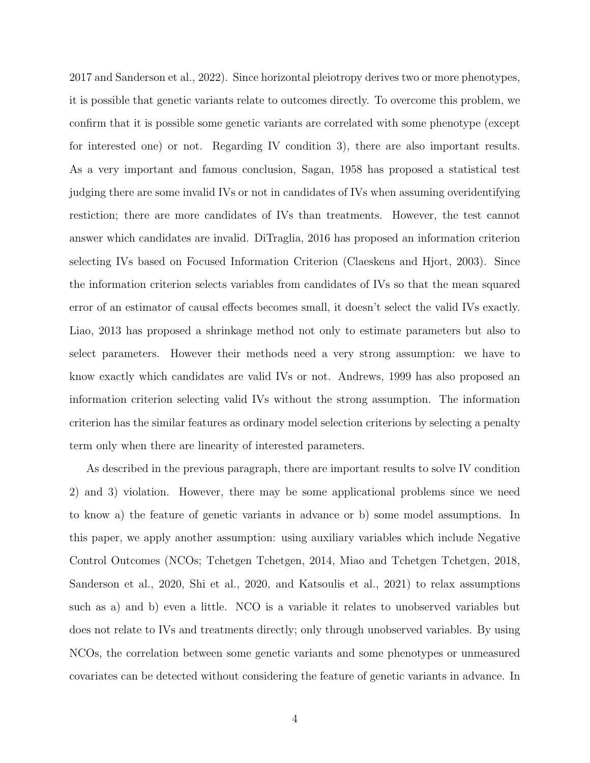2017 and Sanderson et al., 2022). Since horizontal pleiotropy derives two or more phenotypes, it is possible that genetic variants relate to outcomes directly. To overcome this problem, we confirm that it is possible some genetic variants are correlated with some phenotype (except for interested one) or not. Regarding IV condition 3), there are also important results. As a very important and famous conclusion, Sagan, 1958 has proposed a statistical test judging there are some invalid IVs or not in candidates of IVs when assuming overidentifying restiction; there are more candidates of IVs than treatments. However, the test cannot answer which candidates are invalid. DiTraglia, 2016 has proposed an information criterion selecting IVs based on Focused Information Criterion (Claeskens and Hjort, 2003). Since the information criterion selects variables from candidates of IVs so that the mean squared error of an estimator of causal effects becomes small, it doesn't select the valid IVs exactly. Liao, 2013 has proposed a shrinkage method not only to estimate parameters but also to select parameters. However their methods need a very strong assumption: we have to know exactly which candidates are valid IVs or not. Andrews, 1999 has also proposed an information criterion selecting valid IVs without the strong assumption. The information criterion has the similar features as ordinary model selection criterions by selecting a penalty term only when there are linearity of interested parameters.

As described in the previous paragraph, there are important results to solve IV condition 2) and 3) violation. However, there may be some applicational problems since we need to know a) the feature of genetic variants in advance or b) some model assumptions. In this paper, we apply another assumption: using auxiliary variables which include Negative Control Outcomes (NCOs; Tchetgen Tchetgen, 2014, Miao and Tchetgen Tchetgen, 2018, Sanderson et al., 2020, Shi et al., 2020, and Katsoulis et al., 2021) to relax assumptions such as a) and b) even a little. NCO is a variable it relates to unobserved variables but does not relate to IVs and treatments directly; only through unobserved variables. By using NCOs, the correlation between some genetic variants and some phenotypes or unmeasured covariates can be detected without considering the feature of genetic variants in advance. In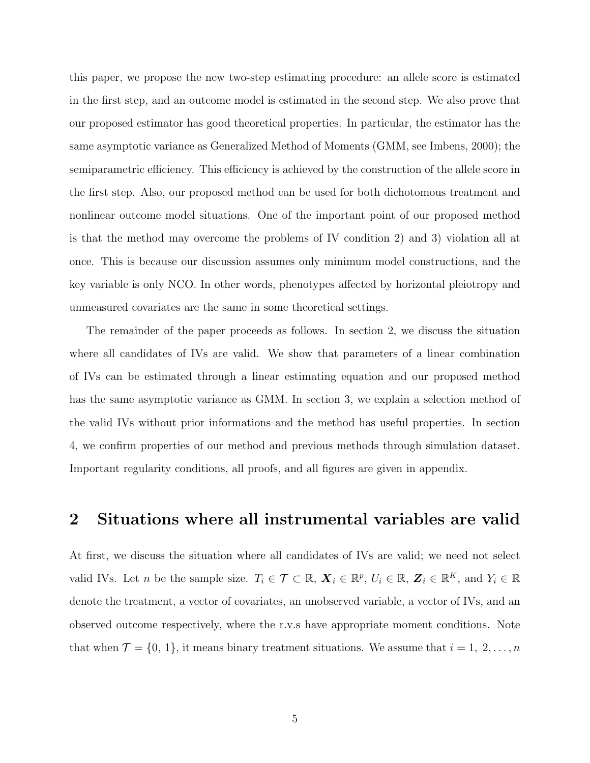this paper, we propose the new two-step estimating procedure: an allele score is estimated in the first step, and an outcome model is estimated in the second step. We also prove that our proposed estimator has good theoretical properties. In particular, the estimator has the same asymptotic variance as Generalized Method of Moments (GMM, see Imbens, 2000); the semiparametric efficiency. This efficiency is achieved by the construction of the allele score in the first step. Also, our proposed method can be used for both dichotomous treatment and nonlinear outcome model situations. One of the important point of our proposed method is that the method may overcome the problems of IV condition 2) and 3) violation all at once. This is because our discussion assumes only minimum model constructions, and the key variable is only NCO. In other words, phenotypes affected by horizontal pleiotropy and unmeasured covariates are the same in some theoretical settings.

The remainder of the paper proceeds as follows. In section 2, we discuss the situation where all candidates of IVs are valid. We show that parameters of a linear combination of IVs can be estimated through a linear estimating equation and our proposed method has the same asymptotic variance as GMM. In section 3, we explain a selection method of the valid IVs without prior informations and the method has useful properties. In section 4, we confirm properties of our method and previous methods through simulation dataset. Important regularity conditions, all proofs, and all figures are given in appendix.

# 2 Situations where all instrumental variables are valid

At first, we discuss the situation where all candidates of IVs are valid; we need not select valid IVs. Let *n* be the sample size.  $T_i \in \mathcal{T} \subset \mathbb{R}, X_i \in \mathbb{R}^p, U_i \in \mathbb{R}, Z_i \in \mathbb{R}^K$ , and  $Y_i \in \mathbb{R}$ denote the treatment, a vector of covariates, an unobserved variable, a vector of IVs, and an observed outcome respectively, where the r.v.s have appropriate moment conditions. Note that when  $\mathcal{T} = \{0, 1\}$ , it means binary treatment situations. We assume that  $i = 1, 2, \ldots, n$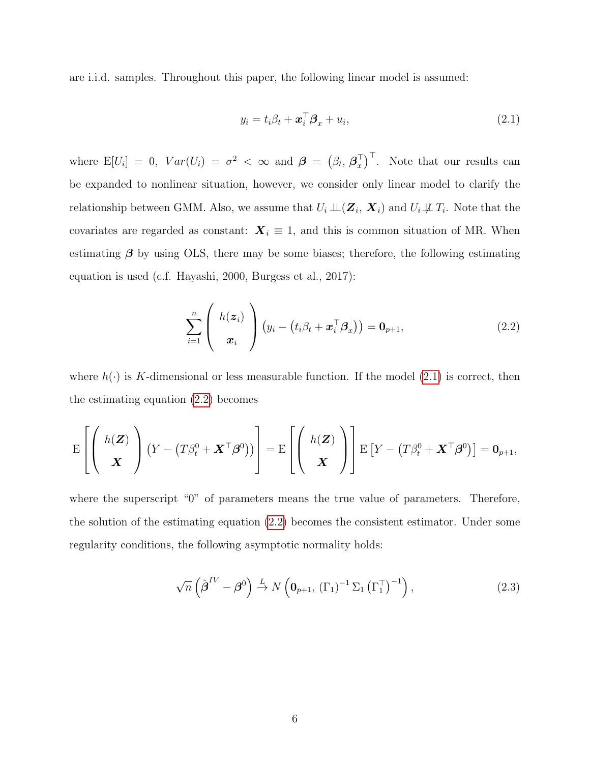are i.i.d. samples. Throughout this paper, the following linear model is assumed:

<span id="page-5-0"></span>
$$
y_i = t_i \beta_t + \boldsymbol{x}_i^{\top} \boldsymbol{\beta}_x + u_i, \qquad (2.1)
$$

where  $E[U_i] = 0$ ,  $Var(U_i) = \sigma^2 < \infty$  and  $\boldsymbol{\beta} = (\beta_t, \boldsymbol{\beta}_x^{\top})$  $\begin{bmatrix} 0 \ x \end{bmatrix}^T$ . Note that our results can be expanded to nonlinear situation, however, we consider only linear model to clarify the relationship between GMM. Also, we assume that  $U_i \perp\!\!\!\perp (\mathbf{Z}_i, \mathbf{X}_i)$  and  $U_i \not\!\!\perp \!\!\!\perp T_i$ . Note that the covariates are regarded as constant:  $X_i \equiv 1$ , and this is common situation of MR. When estimating  $\beta$  by using OLS, there may be some biases; therefore, the following estimating equation is used (c.f. Hayashi, 2000, Burgess et al., 2017):

<span id="page-5-1"></span>
$$
\sum_{i=1}^{n} \left( h(z_i) \right) (y_i - (t_i \beta_t + \boldsymbol{x}_i^{\top} \boldsymbol{\beta}_x)) = \mathbf{0}_{p+1},
$$
\n(2.2)

where  $h(\cdot)$  is K-dimensional or less measurable function. If the model [\(2.1\)](#page-5-0) is correct, then the estimating equation [\(2.2\)](#page-5-1) becomes

$$
\mathrm{E}\left[\left(\begin{array}{c} h(\boldsymbol{Z}) \\ \boldsymbol{X} \end{array}\right)\left(Y-(T\beta_t^0+\boldsymbol{X}^\top\boldsymbol{\beta}^0)\right)\right]=\mathrm{E}\left[\left(\begin{array}{c} h(\boldsymbol{Z}) \\ \boldsymbol{X} \end{array}\right)\right]\mathrm{E}\left[Y-(T\beta_t^0+\boldsymbol{X}^\top\boldsymbol{\beta}^0)\right]=\mathbf{0}_{p+1},
$$

where the superscript "0" of parameters means the true value of parameters. Therefore, the solution of the estimating equation [\(2.2\)](#page-5-1) becomes the consistent estimator. Under some regularity conditions, the following asymptotic normality holds:

<span id="page-5-2"></span>
$$
\sqrt{n}\left(\hat{\boldsymbol{\beta}}^{IV} - \boldsymbol{\beta}^{0}\right) \stackrel{L}{\rightarrow} N\left(\mathbf{0}_{p+1}, \left(\Gamma_{1}\right)^{-1} \Sigma_{1} \left(\Gamma_{1}^{\top}\right)^{-1}\right),\tag{2.3}
$$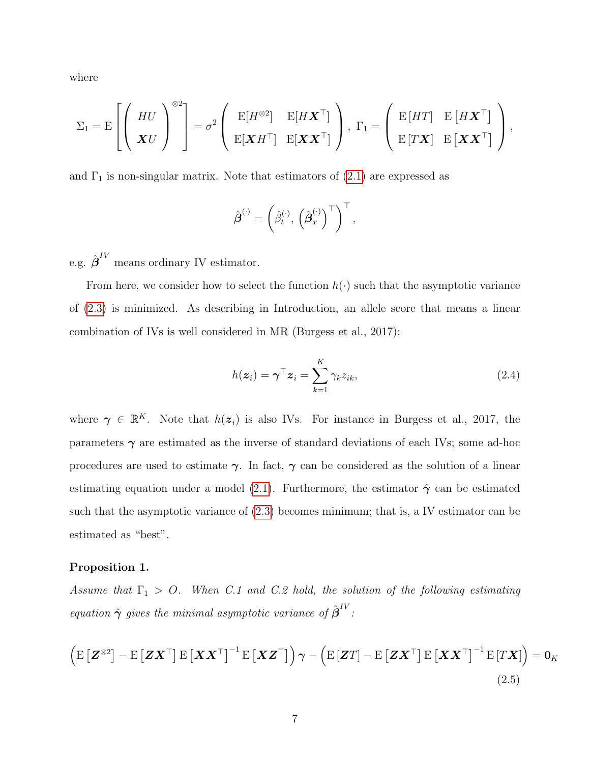where

$$
\Sigma_1 = \mathrm{E}\left[\left(\begin{array}{c} HU \\ \boldsymbol{X}U \end{array}\right)^{\otimes 2}\right] = \sigma^2 \left(\begin{array}{cc} \mathrm{E}[H^{\otimes 2}] & \mathrm{E}[H\boldsymbol{X}^\top] \\ \mathrm{E}[\boldsymbol{X}H^\top] & \mathrm{E}[\boldsymbol{X}\boldsymbol{X}^\top] \end{array}\right), \ \Gamma_1 = \left(\begin{array}{cc} \mathrm{E}\left[HT\right] & \mathrm{E}\left[ H\boldsymbol{X}^\top\right] \\ \mathrm{E}\left[T\boldsymbol{X}\right] & \mathrm{E}\left[\boldsymbol{X}\boldsymbol{X}^\top\right] \end{array}\right),
$$

and  $\Gamma_1$  is non-singular matrix. Note that estimators of  $(2.1)$  are expressed as

$$
\hat{\boldsymbol{\beta}}^{(\cdot)} = \left(\hat{\beta}_t^{(\cdot)}, \left(\hat{\boldsymbol{\beta}}_x^{(\cdot)}\right)^{\top}\right)^{\top},
$$

e.g.  $\hat{\boldsymbol{\beta}}^{IV}$  means ordinary IV estimator.

From here, we consider how to select the function  $h(\cdot)$  such that the asymptotic variance of [\(2.3\)](#page-5-2) is minimized. As describing in Introduction, an allele score that means a linear combination of IVs is well considered in MR (Burgess et al., 2017):

<span id="page-6-0"></span>
$$
h(\boldsymbol{z}_i) = \boldsymbol{\gamma}^\top \boldsymbol{z}_i = \sum_{k=1}^K \gamma_k z_{ik},
$$
\n(2.4)

where  $\gamma \in \mathbb{R}^K$ . Note that  $h(z_i)$  is also IVs. For instance in Burgess et al., 2017, the parameters  $\gamma$  are estimated as the inverse of standard deviations of each IVs; some ad-hoc procedures are used to estimate  $\gamma$ . In fact,  $\gamma$  can be considered as the solution of a linear estimating equation under a model [\(2.1\)](#page-5-0). Furthermore, the estimator  $\hat{\gamma}$  can be estimated such that the asymptotic variance of [\(2.3\)](#page-5-2) becomes minimum; that is, a IV estimator can be estimated as "best".

### <span id="page-6-1"></span>Proposition 1.

Assume that  $\Gamma_1 > 0$ . When C.1 and C.2 hold, the solution of the following estimating equation  $\hat{\boldsymbol{\gamma}}$  gives the minimal asymptotic variance of  $\hat{\boldsymbol{\beta}}^{IV}$ :

$$
\left(\mathrm{E}\left[\mathbf{Z}^{\otimes2}\right]-\mathrm{E}\left[\mathbf{Z}\mathbf{X}^{\top}\right]\mathrm{E}\left[\mathbf{X}\mathbf{X}^{\top}\right]^{-1}\mathrm{E}\left[\mathbf{X}\mathbf{Z}^{\top}\right]\right)\boldsymbol{\gamma}-\left(\mathrm{E}\left[\mathbf{Z}T\right]-\mathrm{E}\left[\mathbf{Z}\mathbf{X}^{\top}\right]\mathrm{E}\left[\mathbf{X}\mathbf{X}^{\top}\right]^{-1}\mathrm{E}\left[T\mathbf{X}\right]\right)=\mathbf{0}_{K}
$$
\n(2.5)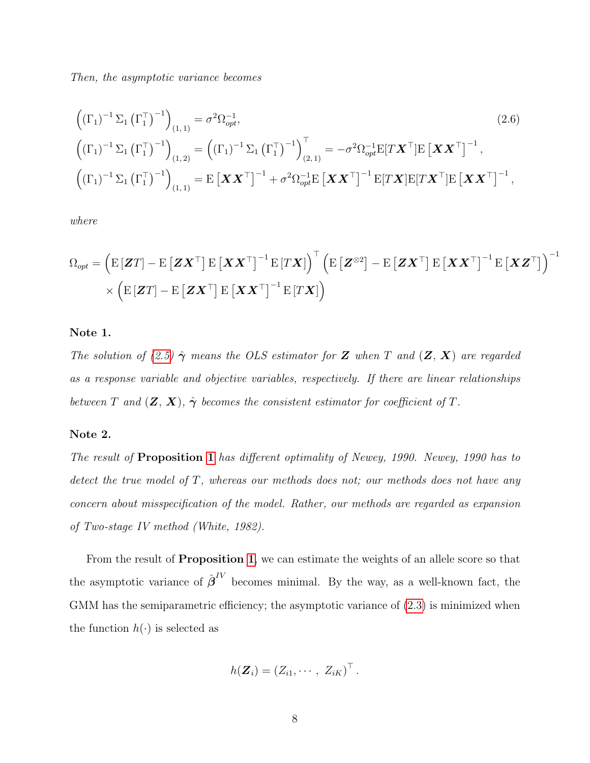Then, the asymptotic variance becomes

<span id="page-7-0"></span>
$$
\left((\Gamma_{1})^{-1} \Sigma_{1} (\Gamma_{1}^{\top})^{-1}\right)_{(1,1)} = \sigma^{2} \Omega_{opt}^{-1},
$$
\n
$$
\left((\Gamma_{1})^{-1} \Sigma_{1} (\Gamma_{1}^{\top})^{-1}\right)_{(1,2)} = \left((\Gamma_{1})^{-1} \Sigma_{1} (\Gamma_{1}^{\top})^{-1}\right)_{(2,1)}^{\top} = -\sigma^{2} \Omega_{opt}^{-1} E[T\mathbf{X}^{\top}] E [\mathbf{X} \mathbf{X}^{\top}]^{-1},
$$
\n
$$
\left((\Gamma_{1})^{-1} \Sigma_{1} (\Gamma_{1}^{\top})^{-1}\right)_{(1,1)} = E [\mathbf{X} \mathbf{X}^{\top}]^{-1} + \sigma^{2} \Omega_{opt}^{-1} E [\mathbf{X} \mathbf{X}^{\top}]^{-1} E[T\mathbf{X}] E[T\mathbf{X}^{\top}] E [\mathbf{X} \mathbf{X}^{\top}]^{-1},
$$
\n(2.6)

where

$$
\begin{aligned} \Omega_{opt} &= \left( \text{E}\left[\boldsymbol{Z}T\right] - \text{E}\left[\boldsymbol{Z}\boldsymbol{X}^\top\right] \text{E}\left[\boldsymbol{X}\boldsymbol{X}^\top\right]^{-1} \text{E}\left[T\boldsymbol{X}\right] \right)^\top \left( \text{E}\left[\boldsymbol{Z}^{\otimes 2}\right] - \text{E}\left[\boldsymbol{Z}\boldsymbol{X}^\top\right] \text{E}\left[\boldsymbol{X}\boldsymbol{X}^\top\right]^{-1} \text{E}\left[\boldsymbol{X}\boldsymbol{Z}^\top\right] \right)^{-1} \\ & \times \left( \text{E}\left[\boldsymbol{Z}T\right] - \text{E}\left[\boldsymbol{Z}\boldsymbol{X}^\top\right] \text{E}\left[\boldsymbol{X}\boldsymbol{X}^\top\right]^{-1} \text{E}\left[T\boldsymbol{X}\right] \right) \end{aligned}
$$

#### Note 1.

The solution of [\(2.5\)](#page-6-0)  $\hat{\gamma}$  means the OLS estimator for **Z** when T and (**Z**, **X**) are regarded as a response variable and objective variables, respectively. If there are linear relationships between T and  $(\mathbf{Z}, \mathbf{X})$ ,  $\hat{\boldsymbol{\gamma}}$  becomes the consistent estimator for coefficient of T.

#### Note 2.

The result of Proposition [1](#page-6-1) has different optimality of Newey, 1990. Newey, 1990 has to detect the true model of T, whereas our methods does not; our methods does not have any concern about misspecification of the model. Rather, our methods are regarded as expansion of Two-stage IV method (White, 1982).

From the result of **Proposition [1](#page-6-1)**, we can estimate the weights of an allele score so that the asymptotic variance of  $\hat{\boldsymbol{\beta}}^{IV}$  becomes minimal. By the way, as a well-known fact, the GMM has the semiparametric efficiency; the asymptotic variance of  $(2.3)$  is minimized when the function  $h(\cdot)$  is selected as

$$
h(\boldsymbol{Z}_i) = (Z_{i1}, \cdots, Z_{iK})^{\top}.
$$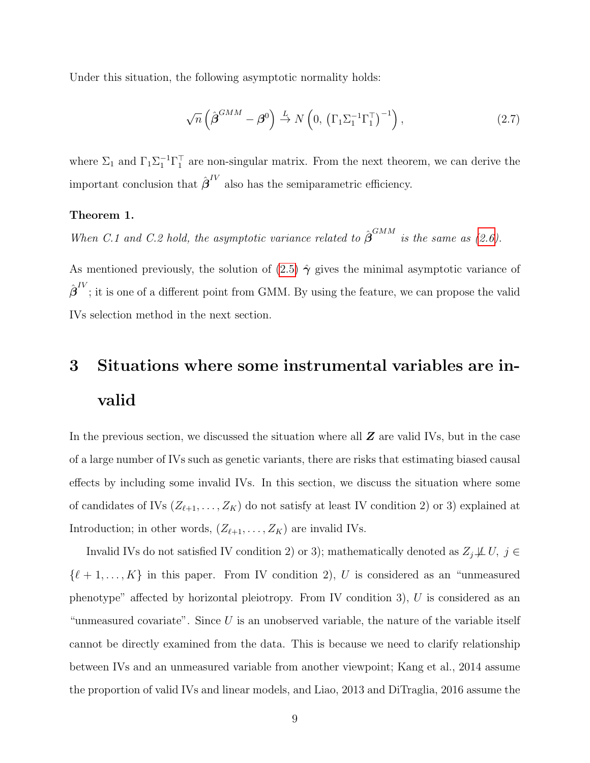Under this situation, the following asymptotic normality holds:

$$
\sqrt{n}\left(\hat{\boldsymbol{\beta}}^{GMM} - \boldsymbol{\beta}^{0}\right) \stackrel{L}{\rightarrow} N\left(0, \left(\Gamma_{1}\Sigma_{1}^{-1}\Gamma_{1}^{\top}\right)^{-1}\right),\tag{2.7}
$$

where  $\Sigma_1$  and  $\Gamma_1 \Sigma_1^{-1} \Gamma_1^{\top}$  are non-singular matrix. From the next theorem, we can derive the important conclusion that  $\hat{\boldsymbol{\beta}}^{IV}$  also has the semiparametric efficiency.

#### <span id="page-8-0"></span>Theorem 1.

When C.1 and C.2 hold, the asymptotic variance related to  $\hat{\beta}^{GMM}$  is the same as [\(2.6\)](#page-7-0).

As mentioned previously, the solution of  $(2.5) \hat{\gamma}$  gives the minimal asymptotic variance of  $\hat{\boldsymbol{\beta}}^{IV}$ ; it is one of a different point from GMM. By using the feature, we can propose the valid IVs selection method in the next section.

# 3 Situations where some instrumental variables are invalid

In the previous section, we discussed the situation where all  $Z$  are valid IVs, but in the case of a large number of IVs such as genetic variants, there are risks that estimating biased causal effects by including some invalid IVs. In this section, we discuss the situation where some of candidates of IVs  $(Z_{\ell+1}, \ldots, Z_K)$  do not satisfy at least IV condition 2) or 3) explained at Introduction; in other words,  $(Z_{\ell+1}, \ldots, Z_K)$  are invalid IVs.

Invalid IVs do not satisfied IV condition 2) or 3); mathematically denoted as  $Z_j \not\perp U$ ,  $j \in$  $\{\ell + 1, \ldots, K\}$  in this paper. From IV condition 2), U is considered as an "unmeasured" phenotype" affected by horizontal pleiotropy. From IV condition 3),  $U$  is considered as an "unmeasured covariate". Since  $U$  is an unobserved variable, the nature of the variable itself cannot be directly examined from the data. This is because we need to clarify relationship between IVs and an unmeasured variable from another viewpoint; Kang et al., 2014 assume the proportion of valid IVs and linear models, and Liao, 2013 and DiTraglia, 2016 assume the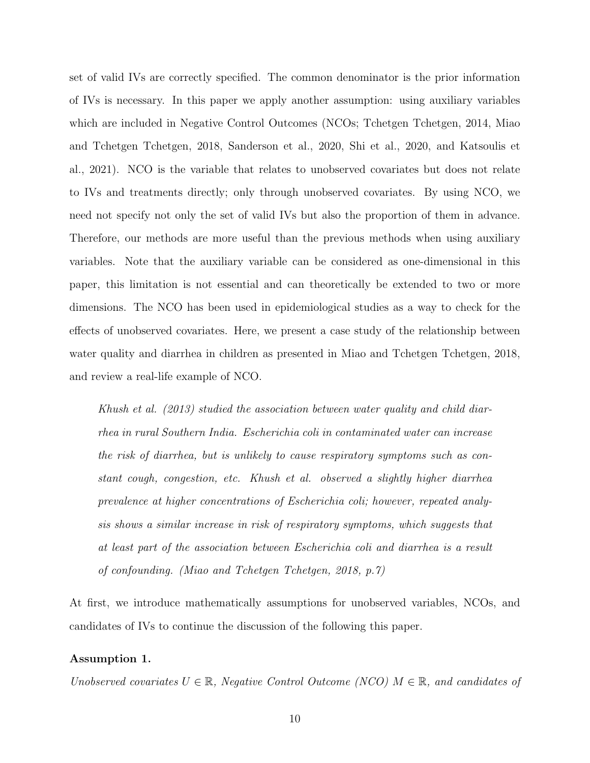set of valid IVs are correctly specified. The common denominator is the prior information of IVs is necessary. In this paper we apply another assumption: using auxiliary variables which are included in Negative Control Outcomes (NCOs; Tchetgen Tchetgen, 2014, Miao and Tchetgen Tchetgen, 2018, Sanderson et al., 2020, Shi et al., 2020, and Katsoulis et al., 2021). NCO is the variable that relates to unobserved covariates but does not relate to IVs and treatments directly; only through unobserved covariates. By using NCO, we need not specify not only the set of valid IVs but also the proportion of them in advance. Therefore, our methods are more useful than the previous methods when using auxiliary variables. Note that the auxiliary variable can be considered as one-dimensional in this paper, this limitation is not essential and can theoretically be extended to two or more dimensions. The NCO has been used in epidemiological studies as a way to check for the effects of unobserved covariates. Here, we present a case study of the relationship between water quality and diarrhea in children as presented in Miao and Tchetgen Tchetgen, 2018, and review a real-life example of NCO.

Khush et al. (2013) studied the association between water quality and child diarrhea in rural Southern India. Escherichia coli in contaminated water can increase the risk of diarrhea, but is unlikely to cause respiratory symptoms such as constant cough, congestion, etc. Khush et al. observed a slightly higher diarrhea prevalence at higher concentrations of Escherichia coli; however, repeated analysis shows a similar increase in risk of respiratory symptoms, which suggests that at least part of the association between Escherichia coli and diarrhea is a result of confounding. (Miao and Tchetgen Tchetgen, 2018, p.7)

At first, we introduce mathematically assumptions for unobserved variables, NCOs, and candidates of IVs to continue the discussion of the following this paper.

### Assumption 1.

Unobserved covariates  $U \in \mathbb{R}$ , Negative Control Outcome (NCO)  $M \in \mathbb{R}$ , and candidates of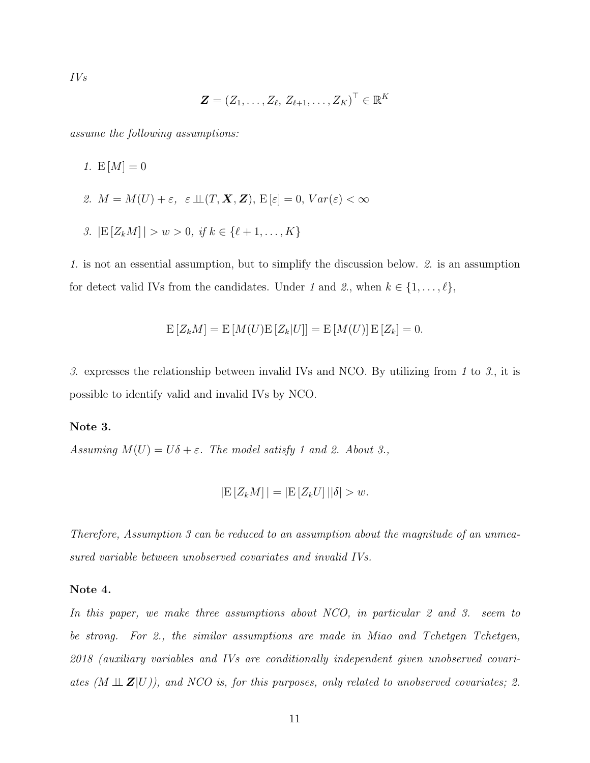IVs

$$
\bm{Z} = \left(Z_1,\ldots,Z_\ell,\,Z_{\ell+1},\ldots,Z_K\right)^\top \in \mathbb{R}^K
$$

assume the following assumptions:

- 1.  $E[M] = 0$
- 2.  $M = M(U) + \varepsilon$ ,  $\varepsilon \perp (T, \mathbf{X}, \mathbf{Z})$ ,  $E[\varepsilon] = 0$ ,  $Var(\varepsilon) < \infty$
- 3.  $|E[Z_kM]| > w > 0$ , if  $k \in \{\ell + 1, \ldots, K\}$

1. is not an essential assumption, but to simplify the discussion below. 2. is an assumption for detect valid IVs from the candidates. Under 1 and 2, when  $k \in \{1, \ldots, \ell\}$ ,

$$
E[Z_kM] = E[M(U)E[Z_k|U]] = E[M(U)]E[Z_k] = 0.
$$

3. expresses the relationship between invalid IVs and NCO. By utilizing from 1 to 3., it is possible to identify valid and invalid IVs by NCO.

#### <span id="page-10-0"></span>Note 3.

Assuming  $M(U) = U\delta + \varepsilon$ . The model satisfy 1 and 2. About 3.,

$$
|\mathcal{E}[Z_k M]| = |\mathcal{E}[Z_k U]| |\delta| > w.
$$

Therefore, Assumption 3 can be reduced to an assumption about the magnitude of an unmeasured variable between unobserved covariates and invalid IVs.

#### Note 4.

In this paper, we make three assumptions about NCO, in particular 2 and 3. seem to be strong. For 2., the similar assumptions are made in Miao and Tchetgen Tchetgen, 2018 (auxiliary variables and IVs are conditionally independent given unobserved covariates  $(M \perp Z|U)$ ), and NCO is, for this purposes, only related to unobserved covariates; 2.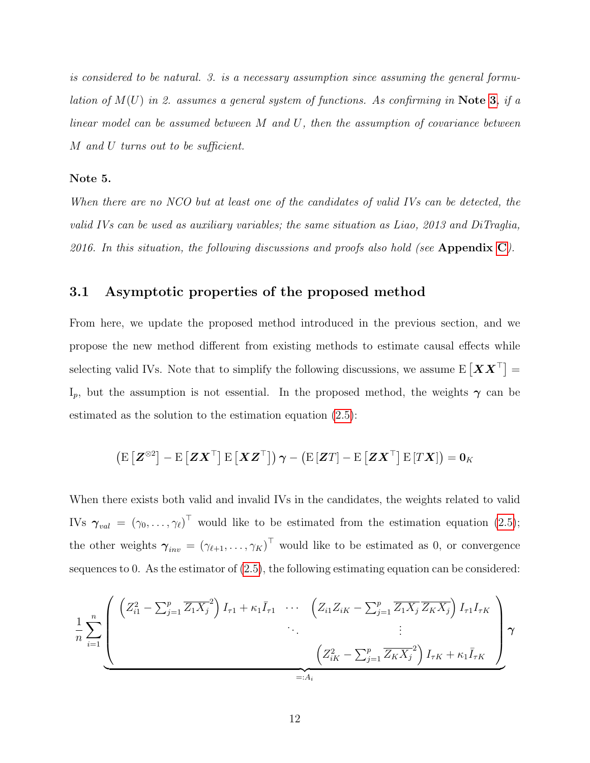is considered to be natural. 3. is a necessary assumption since assuming the general formulation of  $M(U)$  in 2. assumes a general system of functions. As confirming in Note [3](#page-10-0), if a linear model can be assumed between M and U, then the assumption of covariance between M and U turns out to be sufficient.

#### Note 5.

When there are no NCO but at least one of the candidates of valid IVs can be detected, the valid IVs can be used as auxiliary variables; the same situation as Liao, 2013 and DiTraglia, 2016. In this situation, the following discussions and proofs also hold (see Appendix [C](#page-43-0)).

## 3.1 Asymptotic properties of the proposed method

From here, we update the proposed method introduced in the previous section, and we propose the new method different from existing methods to estimate causal effects while selecting valid IVs. Note that to simplify the following discussions, we assume  $E[XX^{\top}] =$ I<sub>p</sub>, but the assumption is not essential. In the proposed method, the weights  $\gamma$  can be estimated as the solution to the estimation equation [\(2.5\)](#page-6-0):

$$
\left(\mathrm{E}\left[\mathbf{Z}^{\otimes 2}\right]-\mathrm{E}\left[\mathbf{Z}\mathbf{X}^{\top}\right]\mathrm{E}\left[\mathbf{X}\mathbf{Z}^{\top}\right]\right)\boldsymbol{\gamma}-\left(\mathrm{E}\left[\mathbf{Z}T\right]-\mathrm{E}\left[\mathbf{Z}\mathbf{X}^{\top}\right]\mathrm{E}\left[T\mathbf{X}\right]\right)=\mathbf{0}_{K}
$$

When there exists both valid and invalid IVs in the candidates, the weights related to valid IVs  $\boldsymbol{\gamma}_{val} = (\gamma_0, \ldots, \gamma_\ell)^\top$  would like to be estimated from the estimation equation [\(2.5\)](#page-6-0); the other weights  $\boldsymbol{\gamma}_{inv} = (\gamma_{\ell+1}, \ldots, \gamma_K)^\top$  would like to be estimated as 0, or convergence sequences to 0. As the estimator of [\(2.5\)](#page-6-0), the following estimating equation can be considered:

$$
\frac{1}{n} \sum_{i=1}^{n} \left( \frac{\left(Z_{i1}^{2} - \sum_{j=1}^{p} \overline{Z_{1}X_{j}}^{2}\right)I_{\tau 1} + \kappa_{1}I_{\tau 1} \cdots \left(Z_{i1}Z_{iK} - \sum_{j=1}^{p} \overline{Z_{1}X_{j}} \overline{Z_{K}X_{j}}\right)I_{\tau 1}I_{\tau K}}{\vdots} \right) \gamma
$$
\n
$$
\frac{\left(Z_{iK}^{2} - \sum_{j=1}^{p} \overline{Z_{K}X_{j}}^{2}\right)I_{\tau K} + \kappa_{1}\overline{I}_{\tau K}}{\equiv A_{i}}
$$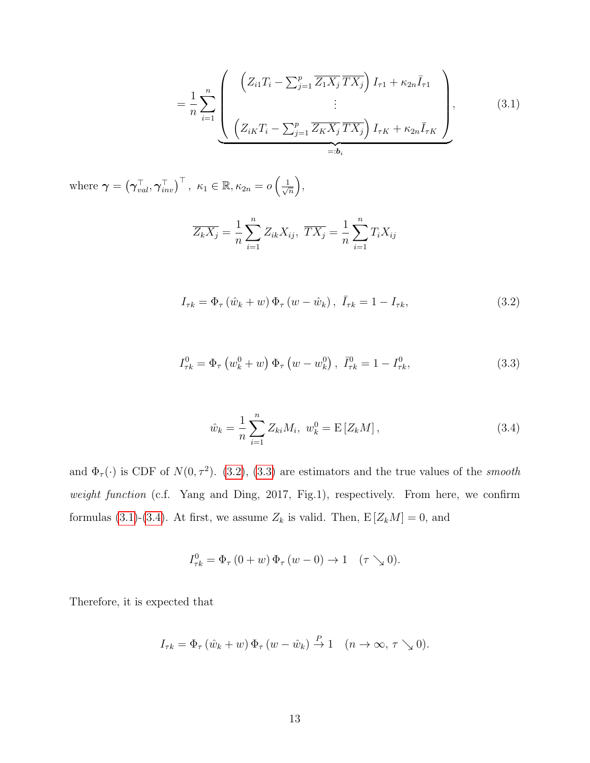<span id="page-12-2"></span>
$$
= \frac{1}{n} \sum_{i=1}^{n} \left( \frac{\left( Z_{i1} T_{i} - \sum_{j=1}^{p} \overline{Z_{1} X_{j}} \overline{T X_{j}} \right) I_{\tau 1} + \kappa_{2n} \overline{I}_{\tau 1}}{\vdots} \right), \qquad (3.1)
$$

$$
= \underbrace{\left( Z_{iK} T_{i} - \sum_{j=1}^{p} \overline{Z_{K} X_{j}} \overline{T X_{j}} \right) I_{\tau K} + \kappa_{2n} \overline{I}_{\tau K}}_{=:b_{i}}.
$$

where  $\boldsymbol{\gamma} = (\boldsymbol{\gamma}_{val}^{\top}, \boldsymbol{\gamma}_{inv}^{\top})^{\top}, \ \kappa_1 \in \mathbb{R}, \kappa_{2n} = o\left(\frac{1}{\sqrt{n}}\right)$  $_{\overline{\overline{n}}} \Big),$ 

<span id="page-12-0"></span>
$$
\overline{Z_k X_j} = \frac{1}{n} \sum_{i=1}^n Z_{ik} X_{ij}, \ \overline{TX_j} = \frac{1}{n} \sum_{i=1}^n T_i X_{ij}
$$

$$
I_{\tau k} = \Phi_{\tau} (\hat{w}_k + w) \Phi_{\tau} (w - \hat{w}_k), \ \bar{I}_{\tau k} = 1 - I_{\tau k}, \tag{3.2}
$$

$$
I_{\tau k}^{0} = \Phi_{\tau} \left( w_{k}^{0} + w \right) \Phi_{\tau} \left( w - w_{k}^{0} \right), \quad \bar{I}_{\tau k}^{0} = 1 - I_{\tau k}^{0}, \tag{3.3}
$$

<span id="page-12-3"></span><span id="page-12-1"></span>
$$
\hat{w}_k = \frac{1}{n} \sum_{i=1}^n Z_{ki} M_i, \ w_k^0 = \mathcal{E}[Z_k M], \tag{3.4}
$$

and  $\Phi_{\tau}(\cdot)$  is CDF of  $N(0, \tau^2)$ . [\(3.2\)](#page-12-0), [\(3.3\)](#page-12-1) are estimators and the true values of the *smooth* weight function (c.f. Yang and Ding, 2017, Fig.1), respectively. From here, we confirm formulas [\(3.1\)](#page-12-2)-[\(3.4\)](#page-12-3). At first, we assume  $Z_k$  is valid. Then,  $E[Z_kM] = 0$ , and

$$
I_{\tau k}^0 = \Phi_{\tau} (0+w) \Phi_{\tau} (w-0) \to 1 \quad (\tau \searrow 0).
$$

Therefore, it is expected that

$$
I_{\tau k} = \Phi_{\tau} (\hat{w}_k + w) \Phi_{\tau} (w - \hat{w}_k) \stackrel{P}{\to} 1 \quad (n \to \infty, \tau \searrow 0).
$$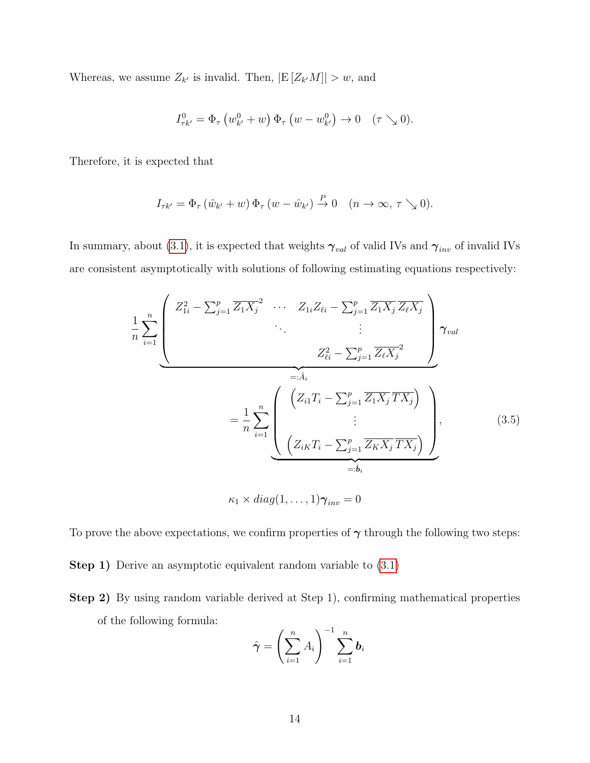Whereas, we assume  $Z_{k'}$  is invalid. Then,  $|E[Z_{k'}M]| > w$ , and

$$
I_{\tau k'}^0 = \Phi_\tau \left( w_{k'}^0 + w \right) \Phi_\tau \left( w - w_{k'}^0 \right) \to 0 \quad (\tau \searrow 0).
$$

Therefore, it is expected that

$$
I_{\tau k'} = \Phi_{\tau} \left( \hat{w}_{k'} + w \right) \Phi_{\tau} \left( w - \hat{w}_{k'} \right) \stackrel{P}{\to} 0 \quad (n \to \infty, \tau \searrow 0).
$$

In summary, about [\(3.1\)](#page-12-2), it is expected that weights  $\gamma_{val}$  of valid IVs and  $\gamma_{inv}$  of invalid IVs are consistent asymptotically with solutions of following estimating equations respectively:

$$
\frac{1}{n} \sum_{i=1}^{n} \left( \frac{Z_{1i}^{2} - \sum_{j=1}^{p} \overline{Z_{1}X_{j}}^{2} \cdots Z_{1i}Z_{\ell i} - \sum_{j=1}^{p} \overline{Z_{1}X_{j}} \overline{Z_{\ell}X_{j}}}{\cdots} \right) \gamma_{val}
$$
\n
$$
= \frac{1}{n} \sum_{i=1}^{n} \left( \frac{\left(Z_{i1}T_{i} - \sum_{j=1}^{p} \overline{Z_{i}X_{j}}^{2} \right)}{\vdots} \right) \gamma_{val}
$$
\n
$$
= \frac{1}{n} \sum_{i=1}^{n} \left( \frac{\left(Z_{i1}T_{i} - \sum_{j=1}^{p} \overline{Z_{1}X_{j}}^{2} \overline{TX_{j}}\right)}{\vdots} \right), \qquad (3.5)
$$
\n
$$
= \delta_{i}
$$
\n
$$
\kappa_{1} \times diag(1, \ldots, 1) \gamma_{inv} = 0
$$

To prove the above expectations, we confirm properties of  $\gamma$  through the following two steps:

Step 1) Derive an asymptotic equivalent random variable to  $(3.1)$ 

Step 2) By using random variable derived at Step 1), confirming mathematical properties of the following formula:

$$
\hat{\boldsymbol{\gamma}} = \left(\sum_{i=1}^n A_i\right)^{-1} \sum_{i=1}^n \boldsymbol{b}_i
$$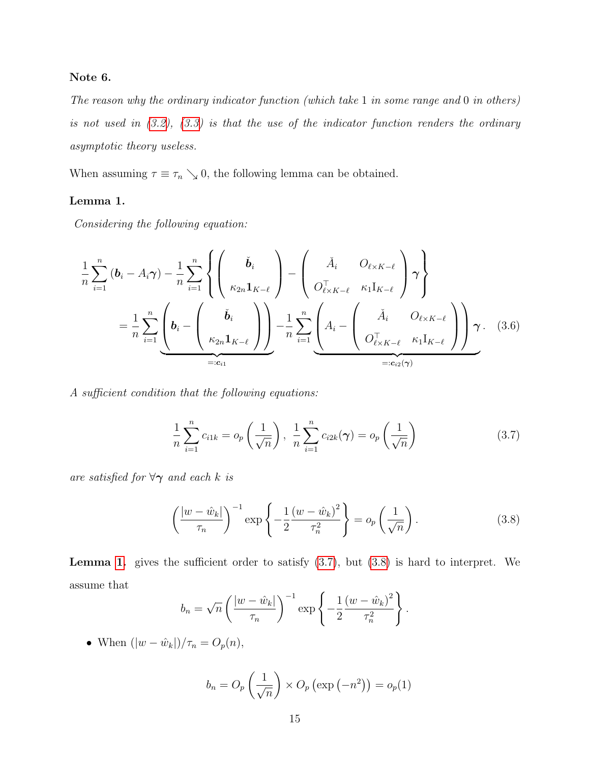### Note 6.

The reason why the ordinary indicator function (which take 1 in some range and 0 in others) is not used in  $(3.2)$ ,  $(3.3)$  is that the use of the indicator function renders the ordinary asymptotic theory useless.

<span id="page-14-0"></span>When assuming  $\tau \equiv \tau_n \searrow 0$ , the following lemma can be obtained.

### Lemma 1.

Considering the following equation:

$$
\frac{1}{n} \sum_{i=1}^{n} \left( \mathbf{b}_{i} - A_{i} \gamma \right) - \frac{1}{n} \sum_{i=1}^{n} \left\{ \begin{pmatrix} \check{\mathbf{b}}_{i} \\ \kappa_{2n} \mathbf{1}_{K-\ell} \end{pmatrix} - \begin{pmatrix} \check{A}_{i} & O_{\ell \times K-\ell} \\ O_{\ell \times K-\ell}^{\top} & \kappa_{1} I_{K-\ell} \end{pmatrix} \gamma \right\}
$$
\n
$$
= \frac{1}{n} \sum_{i=1}^{n} \underbrace{\left( \mathbf{b}_{i} - \begin{pmatrix} \check{\mathbf{b}}_{i} \\ \kappa_{2n} \mathbf{1}_{K-\ell} \end{pmatrix} \right)}_{=:c_{i1}} - \frac{1}{n} \sum_{i=1}^{n} \underbrace{\left( A_{i} - \begin{pmatrix} \check{A}_{i} & O_{\ell \times K-\ell} \\ O_{\ell \times K-\ell}^{\top} & \kappa_{1} I_{K-\ell} \end{pmatrix} \right)}_{=:c_{i2}(\gamma)} \gamma.
$$
\n(3.6)

A sufficient condition that the following equations:

<span id="page-14-3"></span><span id="page-14-1"></span>
$$
\frac{1}{n}\sum_{i=1}^{n}c_{i1k} = o_p\left(\frac{1}{\sqrt{n}}\right), \frac{1}{n}\sum_{i=1}^{n}c_{i2k}(\gamma) = o_p\left(\frac{1}{\sqrt{n}}\right)
$$
(3.7)

are satisfied for  $\forall \gamma$  and each k is

<span id="page-14-2"></span>
$$
\left(\frac{|w-\hat{w}_k|}{\tau_n}\right)^{-1} \exp\left\{-\frac{1}{2}\frac{(w-\hat{w}_k)^2}{\tau_n^2}\right\} = o_p\left(\frac{1}{\sqrt{n}}\right). \tag{3.8}
$$

**Lemma [1.](#page-14-0)** gives the sufficient order to satisfy  $(3.7)$ , but  $(3.8)$  is hard to interpret. We assume that

$$
b_n = \sqrt{n} \left( \frac{|w - \hat{w}_k|}{\tau_n} \right)^{-1} \exp \left\{ -\frac{1}{2} \frac{(w - \hat{w}_k)^2}{\tau_n^2} \right\}.
$$

• When  $(|w - \hat{w}_k|)/\tau_n = O_p(n)$ ,

$$
b_n = O_p\left(\frac{1}{\sqrt{n}}\right) \times O_p\left(\exp\left(-n^2\right)\right) = o_p(1)
$$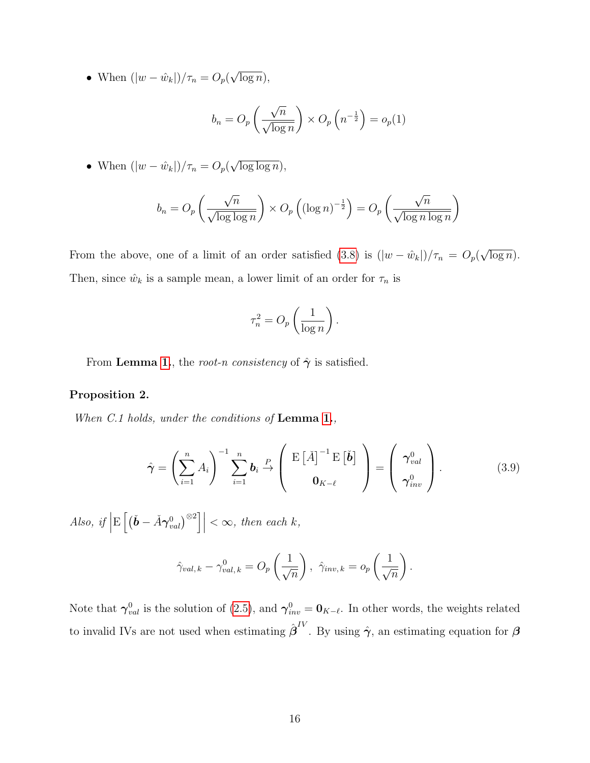• When  $(|w - \hat{w}_k|)/\tau_n = O_p$ √  $\overline{\log n}$ ),

$$
b_n = O_p\left(\frac{\sqrt{n}}{\sqrt{\log n}}\right) \times O_p\left(n^{-\frac{1}{2}}\right) = o_p(1)
$$

• When 
$$
(|w - \hat{w}_k|)/\tau_n = O_p(\sqrt{\log \log n}),
$$

$$
b_n = O_p\left(\frac{\sqrt{n}}{\sqrt{\log\log n}}\right) \times O_p\left(\left(\log n\right)^{-\frac{1}{2}}\right) = O_p\left(\frac{\sqrt{n}}{\sqrt{\log n \log n}}\right)
$$

From the above, one of a limit of an order satisfied [\(3.8\)](#page-14-2) is  $(|w - \hat{w}_k|)/\tau_n = O_p(q)$ √  $\overline{\log n}$ ). Then, since  $\hat{w}_k$  is a sample mean, a lower limit of an order for  $\tau_n$  is

$$
\tau_n^2 = O_p\left(\frac{1}{\log n}\right).
$$

From Lemma [1.](#page-14-0), the root-n consistency of  $\hat{\gamma}$  is satisfied.

### <span id="page-15-0"></span>Proposition 2.

When C.1 holds, under the conditions of Lemma [1.](#page-14-0),

$$
\hat{\boldsymbol{\gamma}} = \left(\sum_{i=1}^{n} A_i\right)^{-1} \sum_{i=1}^{n} \boldsymbol{b}_i \stackrel{P}{\rightarrow} \left(\begin{array}{c} \operatorname{E}\left[\check{A}\right]^{-1} \operatorname{E}\left[\check{\boldsymbol{b}}\right] \\ \mathbf{0}_{K-\ell} \end{array}\right) = \left(\begin{array}{c} \boldsymbol{\gamma}_{val}^0 \\ \boldsymbol{\gamma}_{inv}^0 \end{array}\right). \tag{3.9}
$$

Also, if  $\Big|$  $\mathrm{E}\left[\left(\check{\boldsymbol{b}}-\check{A}\boldsymbol{\gamma}_{val}^{0}\right)^{\otimes2}\right]\right|$  $< \infty$ , then each k,

$$
\hat{\gamma}_{val,k} - \gamma_{val,k}^0 = O_p\left(\frac{1}{\sqrt{n}}\right), \ \hat{\gamma}_{inv,k} = o_p\left(\frac{1}{\sqrt{n}}\right).
$$

Note that  $\gamma_{val}^0$  is the solution of [\(2.5\)](#page-6-0), and  $\gamma_{inv}^0 = \mathbf{0}_{K-\ell}$ . In other words, the weights related to invalid IVs are not used when estimating  $\hat{\boldsymbol{\beta}}^{IV}$ . By using  $\hat{\boldsymbol{\gamma}}$ , an estimating equation for  $\boldsymbol{\beta}$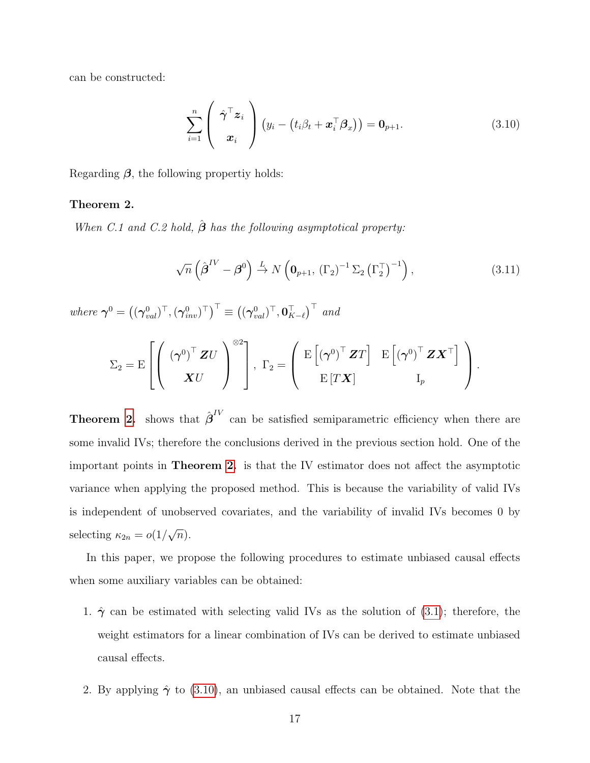can be constructed:

<span id="page-16-1"></span>
$$
\sum_{i=1}^{n} \left( \begin{array}{c} \hat{\boldsymbol{\gamma}}^{\top} \boldsymbol{z}_{i} \\ \boldsymbol{x}_{i} \end{array} \right) \left( y_{i} - \left( t_{i} \beta_{t} + \boldsymbol{x}_{i}^{\top} \boldsymbol{\beta}_{x} \right) \right) = \mathbf{0}_{p+1}.
$$
\n(3.10)

Regarding  $\beta$ , the following propertiy holds:

### <span id="page-16-0"></span>Theorem 2.

When C.1 and C.2 hold,  $\hat{\boldsymbol{\beta}}$  has the following asymptotical property:

$$
\sqrt{n}\left(\hat{\boldsymbol{\beta}}^{IV} - \boldsymbol{\beta}^{0}\right) \stackrel{L}{\rightarrow} N\left(\mathbf{0}_{p+1}, \left(\Gamma_{2}\right)^{-1} \Sigma_{2} \left(\Gamma_{2}^{\top}\right)^{-1}\right),\tag{3.11}
$$

where  $\boldsymbol{\gamma}^0 = \left( (\boldsymbol{\gamma}_{val}^0)^\top, (\boldsymbol{\gamma}_{inv}^0)^\top \right)^\top \equiv \left( (\boldsymbol{\gamma}_{val}^0)^\top, \boldsymbol{0}_{K-\ell}^\top \right)^\top$  and

$$
\Sigma_2 = \operatorname{E}\left[\left(\begin{array}{c} \left(\boldsymbol{\gamma}^0\right)^{\top}\boldsymbol{Z}U\\ \boldsymbol{X}U\end{array}\right)^{\otimes 2}\right],\,\,\Gamma_2 = \left(\begin{array}{cc} \operatorname{E}\left[\left(\boldsymbol{\gamma}^0\right)^{\top}\boldsymbol{Z}T\right] & \operatorname{E}\left[\left(\boldsymbol{\gamma}^0\right)^{\top}\boldsymbol{Z}\boldsymbol{X}^{\top}\right] \\ \operatorname{E}\left[T\boldsymbol{X}\right] & I_p\end{array}\right).
$$

**Theorem [2.](#page-16-0)** shows that  $\hat{\boldsymbol{\beta}}^{IV}$  can be satisfied semiparametric efficiency when there are some invalid IVs; therefore the conclusions derived in the previous section hold. One of the important points in Theorem [2.](#page-16-0) is that the IV estimator does not affect the asymptotic variance when applying the proposed method. This is because the variability of valid IVs is independent of unobserved covariates, and the variability of invalid IVs becomes 0 by selecting  $\kappa_{2n} = o(1)$ √  $\overline{n}).$ 

In this paper, we propose the following procedures to estimate unbiased causal effects when some auxiliary variables can be obtained:

- 1.  $\hat{\gamma}$  can be estimated with selecting valid IVs as the solution of [\(3.1\)](#page-12-2); therefore, the weight estimators for a linear combination of IVs can be derived to estimate unbiased causal effects.
- 2. By applying  $\hat{\gamma}$  to [\(3.10\)](#page-16-1), an unbiased causal effects can be obtained. Note that the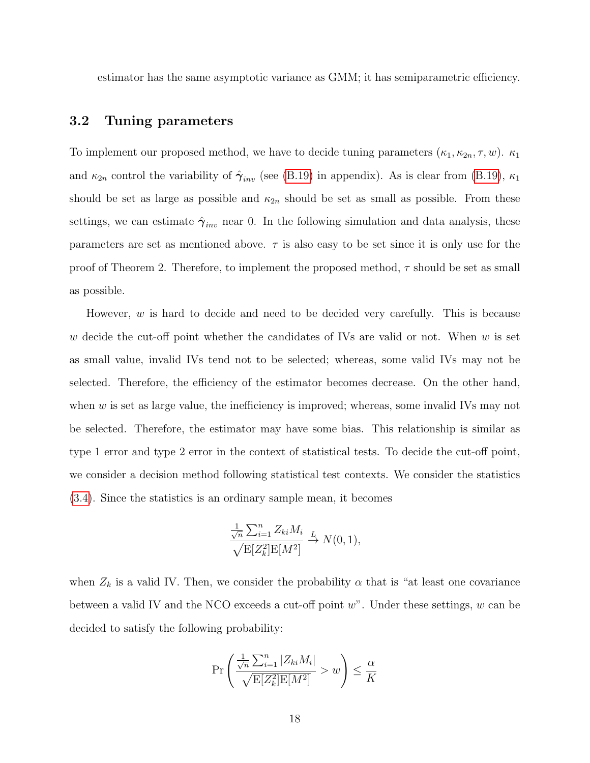estimator has the same asymptotic variance as GMM; it has semiparametric efficiency.

## 3.2 Tuning parameters

To implement our proposed method, we have to decide tuning parameters  $(\kappa_1, \kappa_{2n}, \tau, w)$ .  $\kappa_1$ and  $\kappa_{2n}$  control the variability of  $\hat{\gamma}_{inv}$  (see [\(B.19\)](#page-41-0) in appendix). As is clear from (B.19),  $\kappa_1$ should be set as large as possible and  $\kappa_{2n}$  should be set as small as possible. From these settings, we can estimate  $\hat{\gamma}_{inv}$  near 0. In the following simulation and data analysis, these parameters are set as mentioned above.  $\tau$  is also easy to be set since it is only use for the proof of Theorem 2. Therefore, to implement the proposed method,  $\tau$  should be set as small as possible.

However,  $w$  is hard to decide and need to be decided very carefully. This is because w decide the cut-off point whether the candidates of IVs are valid or not. When  $w$  is set as small value, invalid IVs tend not to be selected; whereas, some valid IVs may not be selected. Therefore, the efficiency of the estimator becomes decrease. On the other hand, when  $w$  is set as large value, the inefficiency is improved; whereas, some invalid IVs may not be selected. Therefore, the estimator may have some bias. This relationship is similar as type 1 error and type 2 error in the context of statistical tests. To decide the cut-off point, we consider a decision method following statistical test contexts. We consider the statistics [\(3.4\)](#page-12-3). Since the statistics is an ordinary sample mean, it becomes

$$
\frac{\frac{1}{\sqrt{n}}\sum_{i=1}^{n}Z_{ki}M_i}{\sqrt{\mathrm{E}[Z_k^2]\mathrm{E}[M^2]}} \xrightarrow{L} N(0,1),
$$

when  $Z_k$  is a valid IV. Then, we consider the probability  $\alpha$  that is "at least one covariance between a valid IV and the NCO exceeds a cut-off point  $w$ ". Under these settings,  $w$  can be decided to satisfy the following probability:

$$
\Pr\left(\frac{\frac{1}{\sqrt{n}}\sum_{i=1}^{n}|Z_{ki}M_i|}{\sqrt{\mathbb{E}[Z_k^2]\mathbb{E}[M^2]}}>w\right)\leq \frac{\alpha}{K}
$$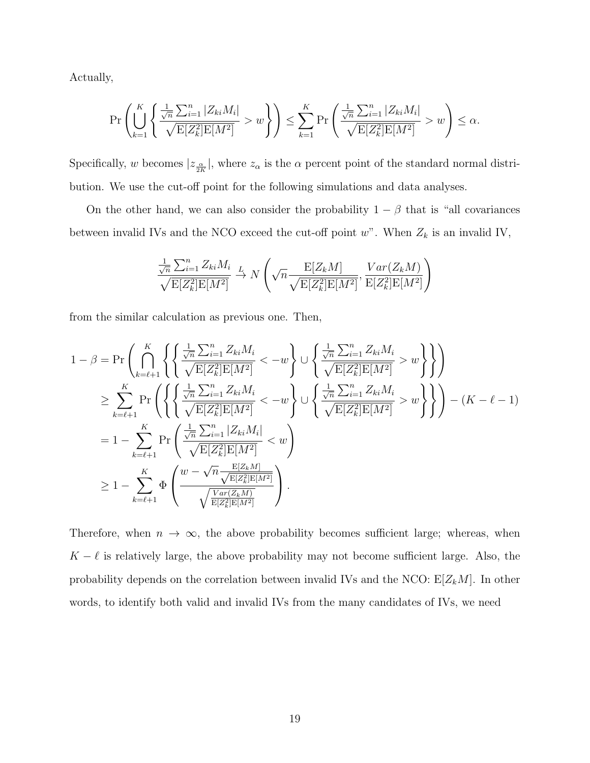Actually,

$$
\Pr\left(\bigcup_{k=1}^K \left\{\frac{\frac{1}{\sqrt{n}}\sum_{i=1}^n |Z_{ki}M_i|}{\sqrt{E[Z_k^2]E[M^2]}} > w\right\}\right) \le \sum_{k=1}^K \Pr\left(\frac{\frac{1}{\sqrt{n}}\sum_{i=1}^n |Z_{ki}M_i|}{\sqrt{E[Z_k^2]E[M^2]}} > w\right) \le \alpha.
$$

Specifically, w becomes  $|z_{\frac{\alpha}{2K}}|$ , where  $z_{\alpha}$  is the  $\alpha$  percent point of the standard normal distribution. We use the cut-off point for the following simulations and data analyses.

On the other hand, we can also consider the probability  $1 - \beta$  that is "all covariances" between invalid IVs and the NCO exceed the cut-off point  $w$ ". When  $Z_k$  is an invalid IV,

$$
\frac{\frac{1}{\sqrt{n}}\sum_{i=1}^{n}Z_{ki}M_i}{\sqrt{\mathrm{E}[Z_k^2]\mathrm{E}[M^2]}} \xrightarrow{L} N\left(\sqrt{n}\frac{\mathrm{E}[Z_kM]}{\sqrt{\mathrm{E}[Z_k^2]\mathrm{E}[M^2]}}, \frac{Var(Z_kM)}{\mathrm{E}[Z_k^2]\mathrm{E}[M^2]}\right)
$$

from the similar calculation as previous one. Then,

$$
1 - \beta = \Pr\left(\bigcap_{k=\ell+1}^{K} \left\{\left\{\frac{\frac{1}{\sqrt{n}}\sum_{i=1}^{n}Z_{ki}M_i}{\sqrt{E[Z_k^2]E[M^2]}} < -w\right\}\cup \left\{\frac{\frac{1}{\sqrt{n}}\sum_{i=1}^{n}Z_{ki}M_i}{\sqrt{E[Z_k^2]E[M^2]}} > w\right\}\right\}\right)
$$
  
\n
$$
\geq \sum_{k=\ell+1}^{K} \Pr\left(\left\{\left\{\frac{\frac{1}{\sqrt{n}}\sum_{i=1}^{n}Z_{ki}M_i}{\sqrt{E[Z_k^2]E[M^2]}} < -w\right\}\cup \left\{\frac{\frac{1}{\sqrt{n}}\sum_{i=1}^{n}Z_{ki}M_i}{\sqrt{E[Z_k^2]E[M^2]}} > w\right\}\right\} - (K - \ell - 1)
$$
  
\n
$$
= 1 - \sum_{k=\ell+1}^{K} \Pr\left(\frac{\frac{1}{\sqrt{n}}\sum_{i=1}^{n}|Z_{ki}M_i|}{\sqrt{E[Z_k^2]E[M^2]}} < w\right)
$$
  
\n
$$
\geq 1 - \sum_{k=\ell+1}^{K} \Phi\left(\frac{w - \sqrt{n}\frac{E[Z_kM]}{\sqrt{E[Z_k^2]E[M^2]}}}{\sqrt{\frac{Var(Z_kM)}{E[Z_k^2]E[M^2]}}}\right).
$$

Therefore, when  $n \to \infty$ , the above probability becomes sufficient large; whereas, when  $K - \ell$  is relatively large, the above probability may not become sufficient large. Also, the probability depends on the correlation between invalid IVs and the NCO:  $E[Z_kM]$ . In other words, to identify both valid and invalid IVs from the many candidates of IVs, we need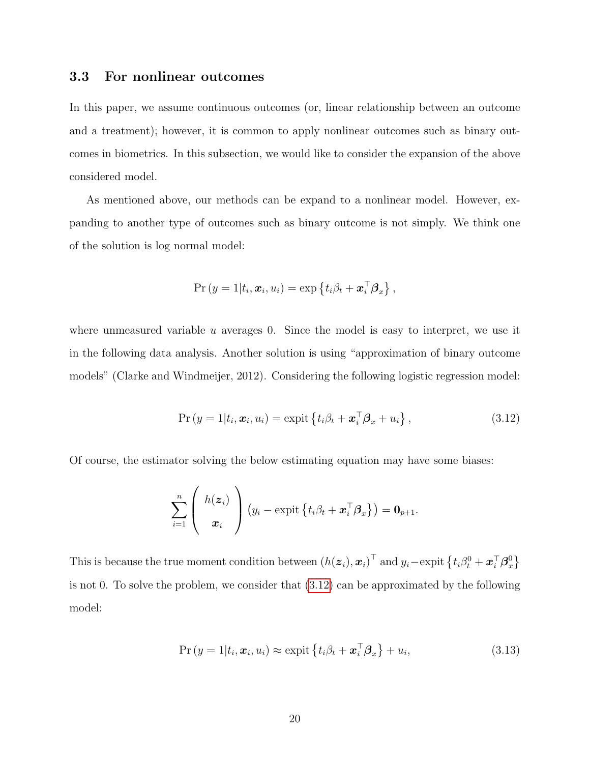## 3.3 For nonlinear outcomes

In this paper, we assume continuous outcomes (or, linear relationship between an outcome and a treatment); however, it is common to apply nonlinear outcomes such as binary outcomes in biometrics. In this subsection, we would like to consider the expansion of the above considered model.

As mentioned above, our methods can be expand to a nonlinear model. However, expanding to another type of outcomes such as binary outcome is not simply. We think one of the solution is log normal model:

$$
\Pr(y = 1 | t_i, \boldsymbol{x}_i, u_i) = \exp\left\{t_i \beta_t + \boldsymbol{x}_i^{\top} \boldsymbol{\beta}_x\right\},
$$

where unmeasured variable  $u$  averages 0. Since the model is easy to interpret, we use it in the following data analysis. Another solution is using "approximation of binary outcome models" (Clarke and Windmeijer, 2012). Considering the following logistic regression model:

<span id="page-19-0"></span>
$$
Pr(y = 1|t_i, \boldsymbol{x}_i, u_i) = \text{expit}\left\{t_i\beta_t + \boldsymbol{x}_i^{\top}\boldsymbol{\beta}_x + u_i\right\},\tag{3.12}
$$

Of course, the estimator solving the below estimating equation may have some biases:

$$
\sum_{i=1}^n \left(\begin{array}{c} h(\boldsymbol{z}_i) \\ \boldsymbol{x}_i \end{array}\right) \left(y_i - \text{expit}\left\{t_i\beta_t + \boldsymbol{x}_i^\top\boldsymbol{\beta}_x\right\}\right) = \mathbf{0}_{p+1}.
$$

This is because the true moment condition between  $(h(\boldsymbol{z}_i), \boldsymbol{x}_i)^\top$  and  $y_i - \text{expit} \left\{ t_i \beta_t^0 + \boldsymbol{x}_i^\top \boldsymbol{\beta}_x^0 \right\}$  $_{x}^{0}\}$ is not 0. To solve the problem, we consider that [\(3.12\)](#page-19-0) can be approximated by the following model:

<span id="page-19-1"></span>
$$
Pr(y = 1 | t_i, \boldsymbol{x}_i, u_i) \approx \text{expit}\left\{t_i \beta_t + \boldsymbol{x}_i^{\top} \boldsymbol{\beta}_x\right\} + u_i,
$$
\n(3.13)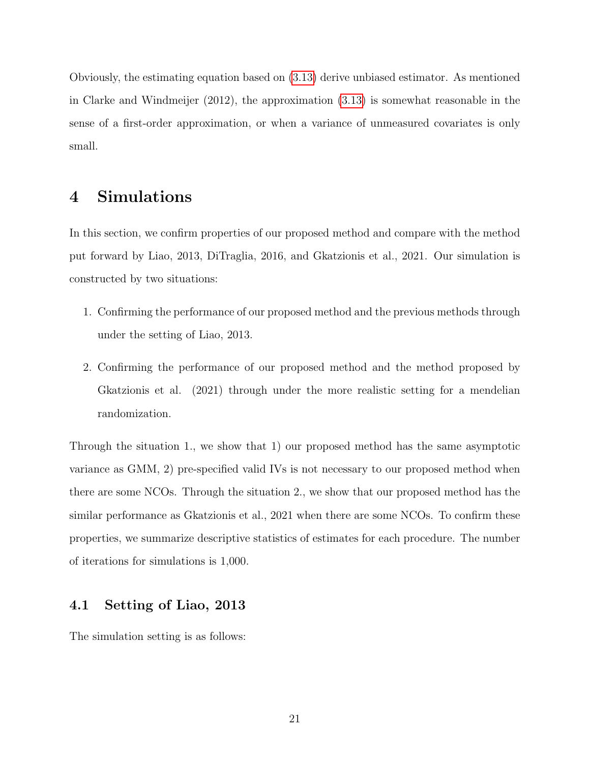Obviously, the estimating equation based on [\(3.13\)](#page-19-1) derive unbiased estimator. As mentioned in Clarke and Windmeijer (2012), the approximation [\(3.13\)](#page-19-1) is somewhat reasonable in the sense of a first-order approximation, or when a variance of unmeasured covariates is only small.

# 4 Simulations

In this section, we confirm properties of our proposed method and compare with the method put forward by Liao, 2013, DiTraglia, 2016, and Gkatzionis et al., 2021. Our simulation is constructed by two situations:

- 1. Confirming the performance of our proposed method and the previous methods through under the setting of Liao, 2013.
- 2. Confirming the performance of our proposed method and the method proposed by Gkatzionis et al. (2021) through under the more realistic setting for a mendelian randomization.

Through the situation 1., we show that 1) our proposed method has the same asymptotic variance as GMM, 2) pre-specified valid IVs is not necessary to our proposed method when there are some NCOs. Through the situation 2., we show that our proposed method has the similar performance as Gkatzionis et al., 2021 when there are some NCOs. To confirm these properties, we summarize descriptive statistics of estimates for each procedure. The number of iterations for simulations is 1,000.

## 4.1 Setting of Liao, 2013

The simulation setting is as follows: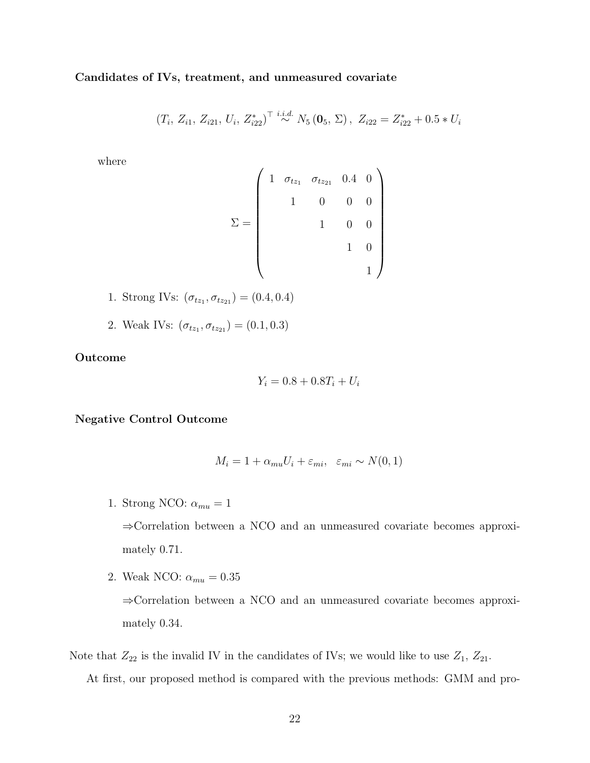Candidates of IVs, treatment, and unmeasured covariate

$$
(T_i, Z_{i1}, Z_{i21}, U_i, Z_{i22}^*)^\top \stackrel{i.i.d.}{\sim} N_5(\mathbf{0}_5, \Sigma), Z_{i22} = Z_{i22}^* + 0.5 * U_i
$$

where

$$
\Sigma = \begin{pmatrix} 1 & \sigma_{tz_1} & \sigma_{tz_{21}} & 0.4 & 0 \\ & 1 & 0 & 0 & 0 \\ & & 1 & 0 & 0 \\ & & & 1 & 0 \\ & & & & 1 \end{pmatrix}
$$

- 1. Strong IVs:  $(\sigma_{t_{z_1}}, \sigma_{t_{z_21}}) = (0.4, 0.4)$
- 2. Weak IVs:  $(\sigma_{tz_1}, \sigma_{tz_2}) = (0.1, 0.3)$

Outcome

$$
Y_i = 0.8 + 0.8T_i + U_i
$$

Negative Control Outcome

$$
M_i = 1 + \alpha_{mu} U_i + \varepsilon_{mi}, \quad \varepsilon_{mi} \sim N(0, 1)
$$

1. Strong NCO:  $\alpha_{mu} = 1$ 

⇒Correlation between a NCO and an unmeasured covariate becomes approximately 0.71.

2. Weak NCO:  $\alpha_{mu} = 0.35$ 

⇒Correlation between a NCO and an unmeasured covariate becomes approximately 0.34.

Note that  $Z_{22}$  is the invalid IV in the candidates of IVs; we would like to use  $Z_1$ ,  $Z_{21}$ . At first, our proposed method is compared with the previous methods: GMM and pro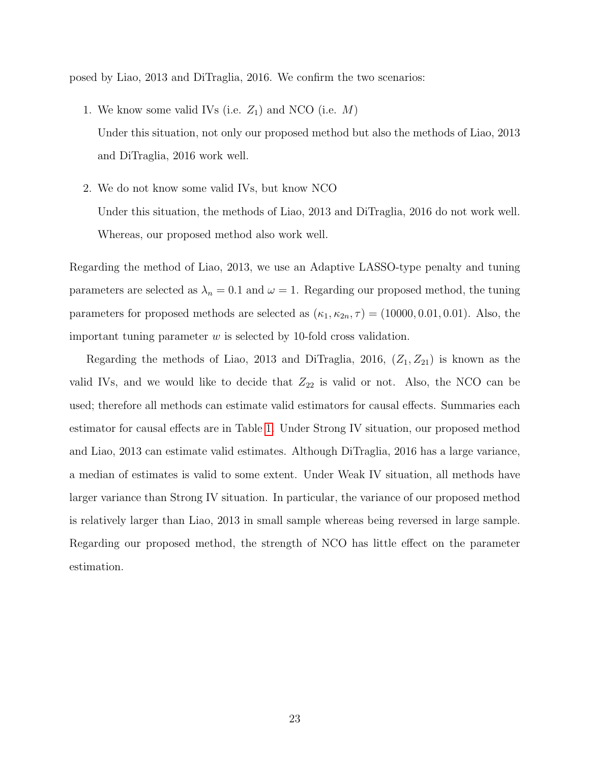posed by Liao, 2013 and DiTraglia, 2016. We confirm the two scenarios:

- 1. We know some valid IVs (i.e.  $Z_1$ ) and NCO (i.e.  $M$ ) Under this situation, not only our proposed method but also the methods of Liao, 2013 and DiTraglia, 2016 work well.
- 2. We do not know some valid IVs, but know NCO Under this situation, the methods of Liao, 2013 and DiTraglia, 2016 do not work well. Whereas, our proposed method also work well.

Regarding the method of Liao, 2013, we use an Adaptive LASSO-type penalty and tuning parameters are selected as  $\lambda_n = 0.1$  and  $\omega = 1$ . Regarding our proposed method, the tuning parameters for proposed methods are selected as  $(\kappa_1, \kappa_{2n}, \tau) = (10000, 0.01, 0.01)$ . Also, the important tuning parameter  $w$  is selected by 10-fold cross validation.

Regarding the methods of Liao, 2013 and DiTraglia, 2016,  $(Z_1, Z_{21})$  is known as the valid IVs, and we would like to decide that  $Z_{22}$  is valid or not. Also, the NCO can be used; therefore all methods can estimate valid estimators for causal effects. Summaries each estimator for causal effects are in Table [1.](#page-23-0) Under Strong IV situation, our proposed method and Liao, 2013 can estimate valid estimates. Although DiTraglia, 2016 has a large variance, a median of estimates is valid to some extent. Under Weak IV situation, all methods have larger variance than Strong IV situation. In particular, the variance of our proposed method is relatively larger than Liao, 2013 in small sample whereas being reversed in large sample. Regarding our proposed method, the strength of NCO has little effect on the parameter estimation.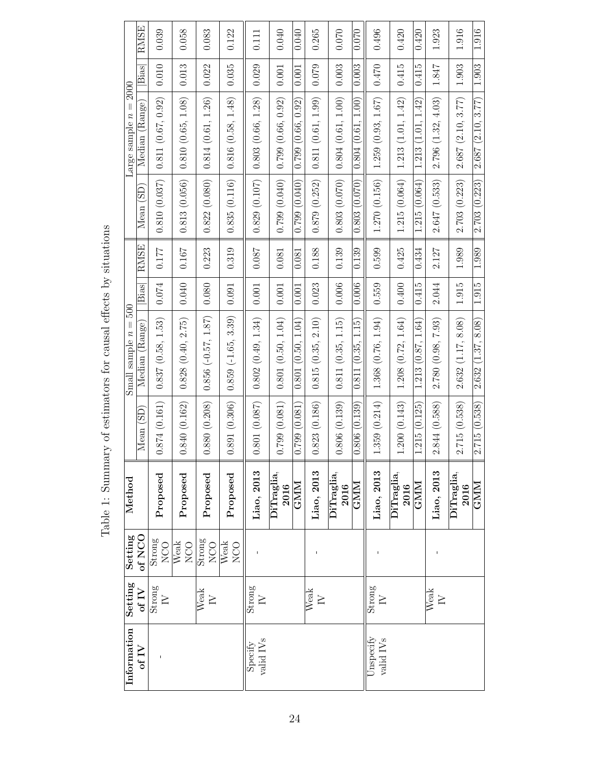<span id="page-23-0"></span>

|                                                       | <b>RMSE</b>              | 0.039                              | 0.058             | 0.083                              | 0.122                   | 0.111                            | 0.040              | 0.040             | 0.265             | 0.070              | 0.070                   | 0.496                              | 0.420              | 0.420                   | 1.923              | 1.916              | 1.916             |
|-------------------------------------------------------|--------------------------|------------------------------------|-------------------|------------------------------------|-------------------------|----------------------------------|--------------------|-------------------|-------------------|--------------------|-------------------------|------------------------------------|--------------------|-------------------------|--------------------|--------------------|-------------------|
| <b>2000</b><br>$\left  {}\right $<br>Large sample $n$ | $\overline{\text{Bias}}$ | 0.010                              | 0.013             | 0.022                              | 0.035                   | 0.029                            | 0.001              | 0.001             | 0.079             | 0.003              | 0.003                   | $0.470$                            | 0.415              | 0.415                   | $1.847\,$          | 1.903              | 1.903             |
|                                                       | Median (Range)           | 0.811(0.67, 0.92)                  | 0.810(0.65, 1.08) | 0.814(0.61, 1.26)                  | 0.816(0.58, 1.48)       | 0.803(0.66, 1.28)                | 0.799(0.66, 0.92)  | 0.799(0.66, 0.92) | 0.811(0.61, 1.99) | 0.804(0.61, 1.00)  | 0.804(0.61, 1.00)       | 1.259(0.93, 1.67)                  | 1.213(1.01, 1.42)  | 1.213(1.01, 1.42)       | 2.796 (1.32, 4.03) | 2.687(2.10, 3.77)  | 2.687(2.10, 3.77) |
|                                                       | Mean (SD)                | 0.810(0.037)                       | 0.813(0.056)      | 0.822(0.080)                       | 0.835(0.116)            | 0.829(0.107)                     | 0.799(0.040)       | (0.799)(0.040)    | 0.879(0.252)      | 0.803(0.070)       | 0.803(0.070)            | 1.270(0.156)                       | 1.215(0.064)       | 1.215 (0.064)           | 2.647(0.533)       | 2.703(0.223)       | 2.703(0.223)      |
|                                                       | <b>RMSE</b>              | $0.177\,$                          | 0.167             | 0.223                              | 0.319                   | <b>180.0</b>                     | 0.081              | 0.081             | 0.188             | 0.139              | 0.139                   | 0.599                              | 0.425              | 0.434                   | 2.127              | 1.989              | 1.989             |
| 500                                                   | Bias                     | $0.074\,$                          | 0.040             | 0.080                              | 0.091                   | 0.001                            | 0.001              | 0.001             | 0.023             | 0.006              | 0.006                   | 0.559                              | 0.400              | 0.415                   | 2.044              | 1.915              | 1.915             |
| $\vert\vert$<br>Small sample $n$                      | Median (Range)           | 0.837(0.58, 1.53)                  | 0.828(0.40, 2.75) | $0.856 (-0.57, 1.87)$              | $0.859 (-1.65, 3.39)$   | 0.802(0.49, 1.34)                | 0.801(0.50, 1.04)  | 0.801(0.50, 1.04) | 0.815(0.35, 2.10) | 0.811(0.35, 1.15)  | 0.811(0.35, 1.15)       | 1.368 (0.76, 1.94)                 | 1.208(0.72, 1.64)  | 1.213(0.87, 1.64)       | 2.780 (0.98, 7.93) | 2.632(1.17, 8.08)  | 2.632(1.37, 8.08) |
|                                                       | Mean (SD                 | 0.874(0.161)                       | 0.840(0.162)      | 0.880(0.208)                       | 0.891(0.306)            | 0.801(0.087)                     | 0.799(0.081)       | 0.799 (0.081      | 0.823(0.186)      | 0.806(0.139)       | 0.806(0.139)            | 1.359(0.214)                       | 1.200(0.143)       | 1.215 (0.125)           | 2.844 (0.588)      | 2.715(0.538)       | 2.715(0.538)      |
| Method                                                |                          | Proposed                           | Proposed          | Proposed                           | Proposed                | Liao, 2013                       | DiTraglia,<br>2016 | <b>GNIM</b>       | Liao, 2013        | DiTraglia,<br>2016 | $\overline{\text{GMM}}$ | Liao, 2013                         | DiTraglia,<br>2016 | $\overline{\text{GMM}}$ | Liao, 2013         | DiTraglia,<br>2016 | GMM               |
| Setting                                               | of NCO                   | $\frac{\hbox{Strong}}{\hbox{NOO}}$ | Weak<br>NCO       | Strong<br>NCO <sub></sub>          | Weak<br>N <sub>CO</sub> |                                  |                    |                   |                   |                    |                         |                                    |                    |                         |                    |                    |                   |
| Setting<br>of $IV$                                    |                          | Strong<br>$\geq$                   |                   | $\overline{\text{Weak}}$<br>$\geq$ |                         | Strong<br>$\geq$                 |                    |                   | Weak<br>$\geq$    |                    |                         | Strong<br>$\geq$                   |                    |                         | Weak<br>$\geq$     |                    |                   |
| Information                                           | of $IV$                  |                                    |                   |                                    |                         | valid IV <sub>s</sub><br>Specify |                    |                   |                   |                    |                         | Unspecify<br>valid IV <sub>s</sub> |                    |                         |                    |                    |                   |

Table 1: Summary of estimators for causal effects by situations Table 1: Summary of estimators for causal effects by situations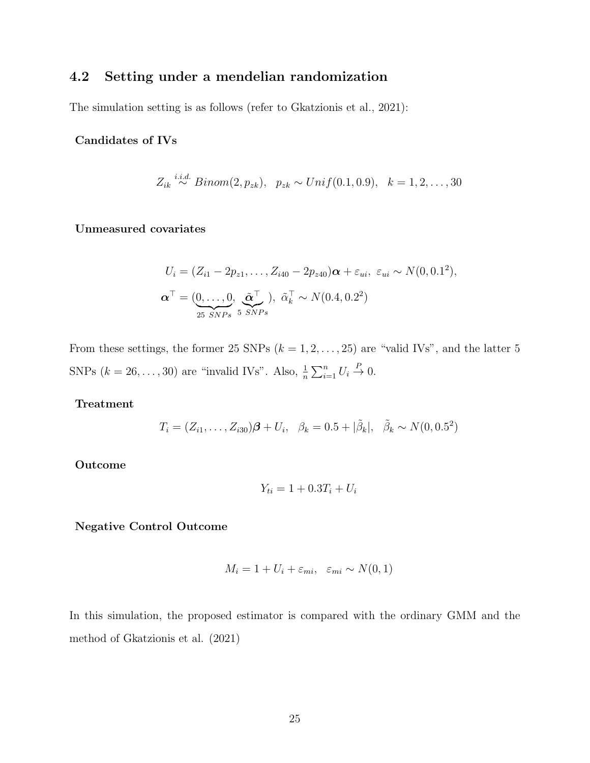# 4.2 Setting under a mendelian randomization

The simulation setting is as follows (refer to Gkatzionis et al., 2021):

### Candidates of IVs

$$
Z_{ik} \stackrel{i.i.d.}{\sim} Binom(2, p_{zk}), \ \ p_{zk} \sim Unif(0.1, 0.9), \ \ k = 1, 2, \dots, 30
$$

### Unmeasured covariates

$$
U_i = (Z_{i1} - 2p_{z1}, \dots, Z_{i40} - 2p_{z40})\boldsymbol{\alpha} + \varepsilon_{ui}, \varepsilon_{ui} \sim N(0, 0.1^2),
$$
  

$$
\boldsymbol{\alpha}^{\top} = (\underbrace{0, \dots, 0}_{25 \; SNPs}, \tilde{\boldsymbol{\alpha}}^{\top}_{SNPs}), \tilde{\alpha}^{\top}_{k} \sim N(0.4, 0.2^2)
$$

From these settings, the former 25 SNPs  $(k = 1, 2, \ldots, 25)$  are "valid IVs", and the latter 5 SNPs  $(k = 26, \ldots, 30)$  are "invalid IVs". Also,  $\frac{1}{n} \sum_{i=1}^{n} U_i \stackrel{P}{\rightarrow} 0$ .

### Treatment

$$
T_i = (Z_{i1}, \dots, Z_{i30})\boldsymbol{\beta} + U_i, \ \ \beta_k = 0.5 + |\tilde{\beta}_k|, \ \ \tilde{\beta}_k \sim N(0, 0.5^2)
$$

### Outcome

$$
Y_{ti} = 1 + 0.3T_i + U_i
$$

#### Negative Control Outcome

$$
M_i = 1 + U_i + \varepsilon_{mi}, \quad \varepsilon_{mi} \sim N(0, 1)
$$

In this simulation, the proposed estimator is compared with the ordinary GMM and the method of Gkatzionis et al. (2021)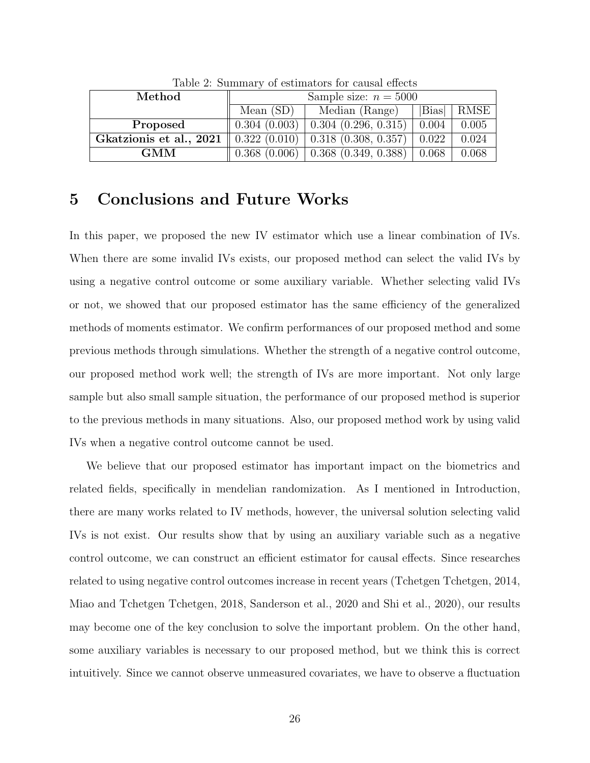| Method                  | Sample size: $n = 5000$ |                                          |       |             |  |  |  |  |
|-------------------------|-------------------------|------------------------------------------|-------|-------------|--|--|--|--|
|                         | Mean $(SD)$             | Median (Range)                           | Bias  | <b>RMSE</b> |  |  |  |  |
| Proposed                | 0.304(0.003)            | $0.304$ $(0.296, 0.315)$                 | 0.004 | 0.005       |  |  |  |  |
| Gkatzionis et al., 2021 |                         | $0.322(0.010)$ 0.318 (0.308, 0.357)      | 0.022 | 0.024       |  |  |  |  |
| <b>GMM</b>              | 0.368(0.006)            | $\vert 0.368 \vert (0.349, 0.388) \vert$ | 0.068 | 0.068       |  |  |  |  |

Table 2: Summary of estimators for causal effects

# 5 Conclusions and Future Works

In this paper, we proposed the new IV estimator which use a linear combination of IVs. When there are some invalid IVs exists, our proposed method can select the valid IVs by using a negative control outcome or some auxiliary variable. Whether selecting valid IVs or not, we showed that our proposed estimator has the same efficiency of the generalized methods of moments estimator. We confirm performances of our proposed method and some previous methods through simulations. Whether the strength of a negative control outcome, our proposed method work well; the strength of IVs are more important. Not only large sample but also small sample situation, the performance of our proposed method is superior to the previous methods in many situations. Also, our proposed method work by using valid IVs when a negative control outcome cannot be used.

We believe that our proposed estimator has important impact on the biometrics and related fields, specifically in mendelian randomization. As I mentioned in Introduction, there are many works related to IV methods, however, the universal solution selecting valid IVs is not exist. Our results show that by using an auxiliary variable such as a negative control outcome, we can construct an efficient estimator for causal effects. Since researches related to using negative control outcomes increase in recent years (Tchetgen Tchetgen, 2014, Miao and Tchetgen Tchetgen, 2018, Sanderson et al., 2020 and Shi et al., 2020), our results may become one of the key conclusion to solve the important problem. On the other hand, some auxiliary variables is necessary to our proposed method, but we think this is correct intuitively. Since we cannot observe unmeasured covariates, we have to observe a fluctuation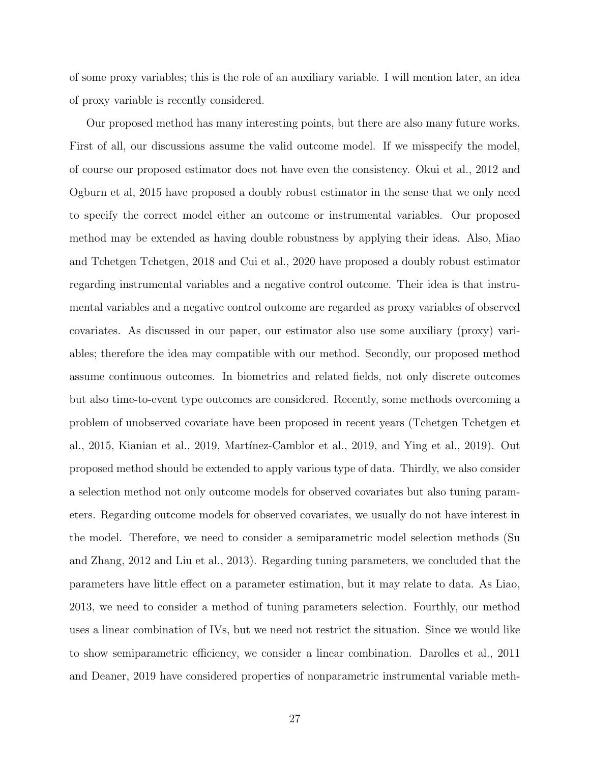of some proxy variables; this is the role of an auxiliary variable. I will mention later, an idea of proxy variable is recently considered.

Our proposed method has many interesting points, but there are also many future works. First of all, our discussions assume the valid outcome model. If we misspecify the model, of course our proposed estimator does not have even the consistency. Okui et al., 2012 and Ogburn et al, 2015 have proposed a doubly robust estimator in the sense that we only need to specify the correct model either an outcome or instrumental variables. Our proposed method may be extended as having double robustness by applying their ideas. Also, Miao and Tchetgen Tchetgen, 2018 and Cui et al., 2020 have proposed a doubly robust estimator regarding instrumental variables and a negative control outcome. Their idea is that instrumental variables and a negative control outcome are regarded as proxy variables of observed covariates. As discussed in our paper, our estimator also use some auxiliary (proxy) variables; therefore the idea may compatible with our method. Secondly, our proposed method assume continuous outcomes. In biometrics and related fields, not only discrete outcomes but also time-to-event type outcomes are considered. Recently, some methods overcoming a problem of unobserved covariate have been proposed in recent years (Tchetgen Tchetgen et al., 2015, Kianian et al., 2019, Martínez-Camblor et al., 2019, and Ying et al., 2019). Out proposed method should be extended to apply various type of data. Thirdly, we also consider a selection method not only outcome models for observed covariates but also tuning parameters. Regarding outcome models for observed covariates, we usually do not have interest in the model. Therefore, we need to consider a semiparametric model selection methods (Su and Zhang, 2012 and Liu et al., 2013). Regarding tuning parameters, we concluded that the parameters have little effect on a parameter estimation, but it may relate to data. As Liao, 2013, we need to consider a method of tuning parameters selection. Fourthly, our method uses a linear combination of IVs, but we need not restrict the situation. Since we would like to show semiparametric efficiency, we consider a linear combination. Darolles et al., 2011 and Deaner, 2019 have considered properties of nonparametric instrumental variable meth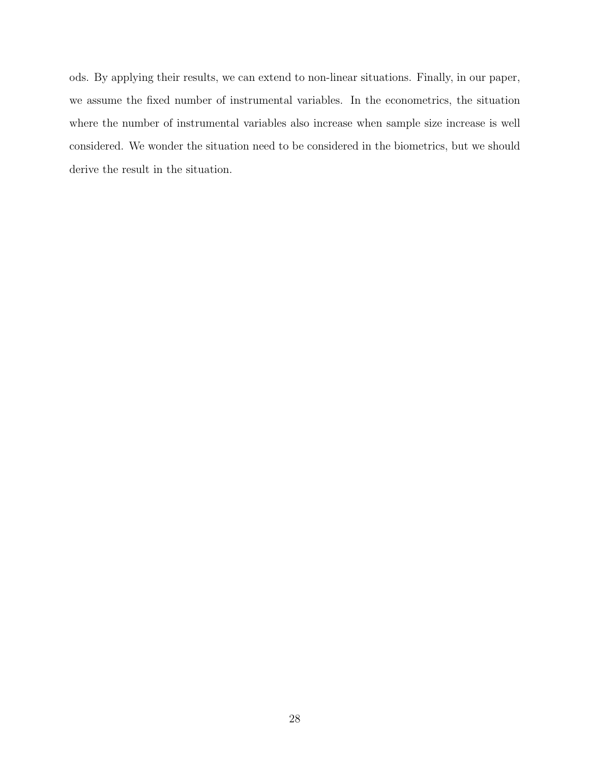ods. By applying their results, we can extend to non-linear situations. Finally, in our paper, we assume the fixed number of instrumental variables. In the econometrics, the situation where the number of instrumental variables also increase when sample size increase is well considered. We wonder the situation need to be considered in the biometrics, but we should derive the result in the situation.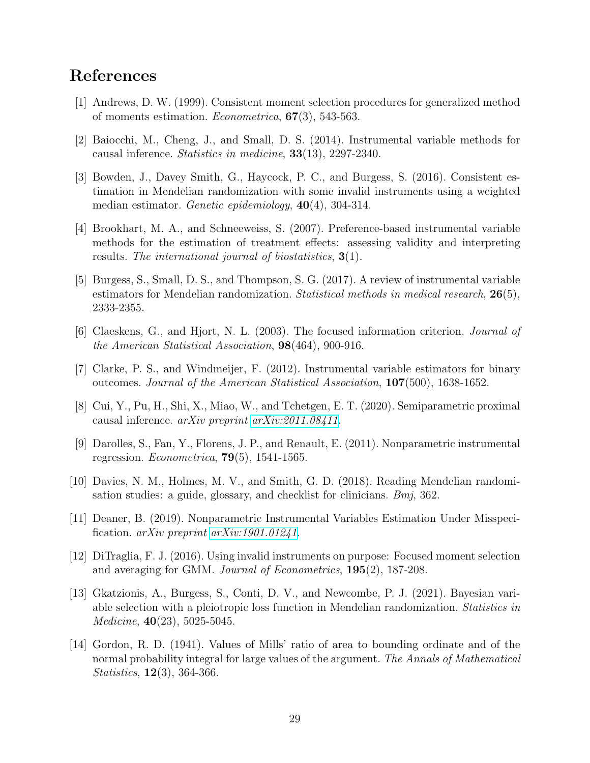# References

- [1] Andrews, D. W. (1999). Consistent moment selection procedures for generalized method of moments estimation. *Econometrica*,  $67(3)$ , 543-563.
- [2] Baiocchi, M., Cheng, J., and Small, D. S. (2014). Instrumental variable methods for causal inference. Statistics in medicine, 33(13), 2297-2340.
- [3] Bowden, J., Davey Smith, G., Haycock, P. C., and Burgess, S. (2016). Consistent estimation in Mendelian randomization with some invalid instruments using a weighted median estimator. Genetic epidemiology,  $40(4)$ , 304-314.
- [4] Brookhart, M. A., and Schneeweiss, S. (2007). Preference-based instrumental variable methods for the estimation of treatment effects: assessing validity and interpreting results. The international journal of biostatistics,  $3(1)$ .
- [5] Burgess, S., Small, D. S., and Thompson, S. G. (2017). A review of instrumental variable estimators for Mendelian randomization. Statistical methods in medical research,  $26(5)$ , 2333-2355.
- [6] Claeskens, G., and Hjort, N. L. (2003). The focused information criterion. Journal of the American Statistical Association, 98(464), 900-916.
- [7] Clarke, P. S., and Windmeijer, F. (2012). Instrumental variable estimators for binary outcomes. Journal of the American Statistical Association, 107(500), 1638-1652.
- [8] Cui, Y., Pu, H., Shi, X., Miao, W., and Tchetgen, E. T. (2020). Semiparametric proximal causal inference.  $arXiv$  preprint  $arXiv:2011.08411$ .
- [9] Darolles, S., Fan, Y., Florens, J. P., and Renault, E. (2011). Nonparametric instrumental regression.  $Econometrica$ , **79**(5), 1541-1565.
- [10] Davies, N. M., Holmes, M. V., and Smith, G. D. (2018). Reading Mendelian randomisation studies: a guide, glossary, and checklist for clinicians. *Bmj*, 362.
- [11] Deaner, B. (2019). Nonparametric Instrumental Variables Estimation Under Misspecification.  $arXiv$  preprint  $arXiv:1901.01241$ .
- [12] DiTraglia, F. J. (2016). Using invalid instruments on purpose: Focused moment selection and averaging for GMM. Journal of Econometrics, 195(2), 187-208.
- [13] Gkatzionis, A., Burgess, S., Conti, D. V., and Newcombe, P. J. (2021). Bayesian variable selection with a pleiotropic loss function in Mendelian randomization. Statistics in Medicine, 40(23), 5025-5045.
- [14] Gordon, R. D. (1941). Values of Mills' ratio of area to bounding ordinate and of the normal probability integral for large values of the argument. The Annals of Mathematical Statistics, 12(3), 364-366.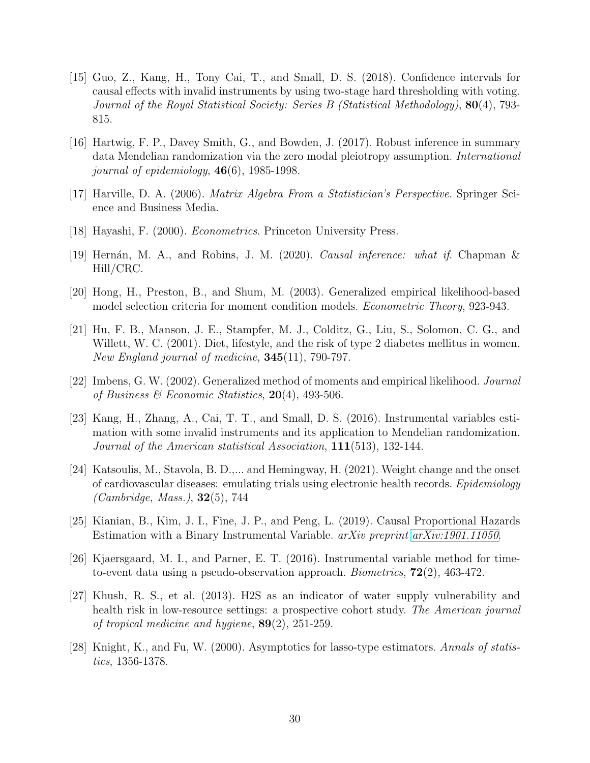- [15] Guo, Z., Kang, H., Tony Cai, T., and Small, D. S. (2018). Confidence intervals for causal effects with invalid instruments by using two-stage hard thresholding with voting. Journal of the Royal Statistical Society: Series B (Statistical Methodology), 80(4), 793- 815.
- [16] Hartwig, F. P., Davey Smith, G., and Bowden, J. (2017). Robust inference in summary data Mendelian randomization via the zero modal pleiotropy assumption. International journal of epidemiology,  $46(6)$ , 1985-1998.
- [17] Harville, D. A. (2006). Matrix Algebra From a Statistician's Perspective. Springer Science and Business Media.
- [18] Hayashi, F. (2000). Econometrics. Princeton University Press.
- [19] Hern´an, M. A., and Robins, J. M. (2020). Causal inference: what if. Chapman & Hill/CRC.
- [20] Hong, H., Preston, B., and Shum, M. (2003). Generalized empirical likelihood-based model selection criteria for moment condition models. Econometric Theory, 923-943.
- [21] Hu, F. B., Manson, J. E., Stampfer, M. J., Colditz, G., Liu, S., Solomon, C. G., and Willett, W. C. (2001). Diet, lifestyle, and the risk of type 2 diabetes mellitus in women. New England journal of medicine,  $345(11)$ , 790-797.
- [22] Imbens, G. W. (2002). Generalized method of moments and empirical likelihood. Journal of Business & Economic Statistics,  $20(4)$ , 493-506.
- [23] Kang, H., Zhang, A., Cai, T. T., and Small, D. S. (2016). Instrumental variables estimation with some invalid instruments and its application to Mendelian randomization. Journal of the American statistical Association, 111(513), 132-144.
- [24] Katsoulis, M., Stavola, B. D.,... and Hemingway, H. (2021). Weight change and the onset of cardiovascular diseases: emulating trials using electronic health records. Epidemiology (Cambridge, Mass.), 32(5), 744
- [25] Kianian, B., Kim, J. I., Fine, J. P., and Peng, L. (2019). Causal Proportional Hazards Estimation with a Binary Instrumental Variable. arXiv preprint [arXiv:1901.11050](http://arxiv.org/abs/1901.11050).
- [26] Kjaersgaard, M. I., and Parner, E. T. (2016). Instrumental variable method for timeto-event data using a pseudo-observation approach. *Biometrics*,  $72(2)$ , 463-472.
- [27] Khush, R. S., et al. (2013). H2S as an indicator of water supply vulnerability and health risk in low-resource settings: a prospective cohort study. The American journal of tropical medicine and hygiene, 89(2), 251-259.
- [28] Knight, K., and Fu, W. (2000). Asymptotics for lasso-type estimators. Annals of statistics, 1356-1378.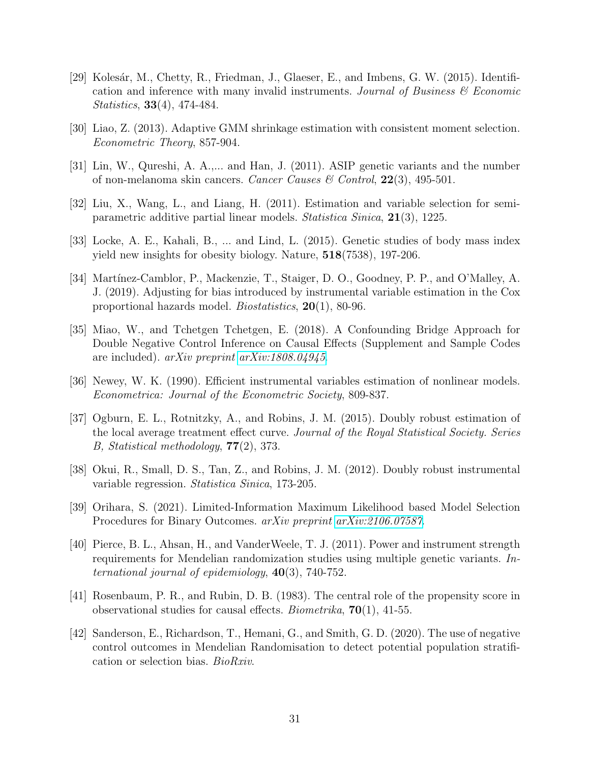- [29] Kolesár, M., Chetty, R., Friedman, J., Glaeser, E., and Imbens, G. W. (2015). Identification and inference with many invalid instruments. Journal of Business  $\mathcal C$  Economic Statistics, 33(4), 474-484.
- [30] Liao, Z. (2013). Adaptive GMM shrinkage estimation with consistent moment selection. Econometric Theory, 857-904.
- [31] Lin, W., Qureshi, A. A.,... and Han, J. (2011). ASIP genetic variants and the number of non-melanoma skin cancers. Cancer Causes & Control,  $22(3)$ , 495-501.
- [32] Liu, X., Wang, L., and Liang, H. (2011). Estimation and variable selection for semiparametric additive partial linear models. Statistica Sinica, 21(3), 1225.
- [33] Locke, A. E., Kahali, B., ... and Lind, L. (2015). Genetic studies of body mass index yield new insights for obesity biology. Nature, 518(7538), 197-206.
- [34] Martínez-Camblor, P., Mackenzie, T., Staiger, D. O., Goodney, P. P., and O'Malley, A. J. (2019). Adjusting for bias introduced by instrumental variable estimation in the Cox proportional hazards model. Biostatistics, 20(1), 80-96.
- [35] Miao, W., and Tchetgen Tchetgen, E. (2018). A Confounding Bridge Approach for Double Negative Control Inference on Causal Effects (Supplement and Sample Codes are included). arXiv preprint [arXiv:1808.04945](http://arxiv.org/abs/1808.04945).
- [36] Newey, W. K. (1990). Efficient instrumental variables estimation of nonlinear models. Econometrica: Journal of the Econometric Society, 809-837.
- [37] Ogburn, E. L., Rotnitzky, A., and Robins, J. M. (2015). Doubly robust estimation of the local average treatment effect curve. Journal of the Royal Statistical Society. Series B, Statistical methodology, 77(2), 373.
- [38] Okui, R., Small, D. S., Tan, Z., and Robins, J. M. (2012). Doubly robust instrumental variable regression. Statistica Sinica, 173-205.
- [39] Orihara, S. (2021). Limited-Information Maximum Likelihood based Model Selection Procedures for Binary Outcomes. arXiv preprint [arXiv:2106.07587](http://arxiv.org/abs/2106.07587).
- [40] Pierce, B. L., Ahsan, H., and VanderWeele, T. J. (2011). Power and instrument strength requirements for Mendelian randomization studies using multiple genetic variants. International journal of epidemiology, 40(3), 740-752.
- [41] Rosenbaum, P. R., and Rubin, D. B. (1983). The central role of the propensity score in observational studies for causal effects. *Biometrika*,  $70(1)$ , 41-55.
- [42] Sanderson, E., Richardson, T., Hemani, G., and Smith, G. D. (2020). The use of negative control outcomes in Mendelian Randomisation to detect potential population stratification or selection bias. BioRxiv.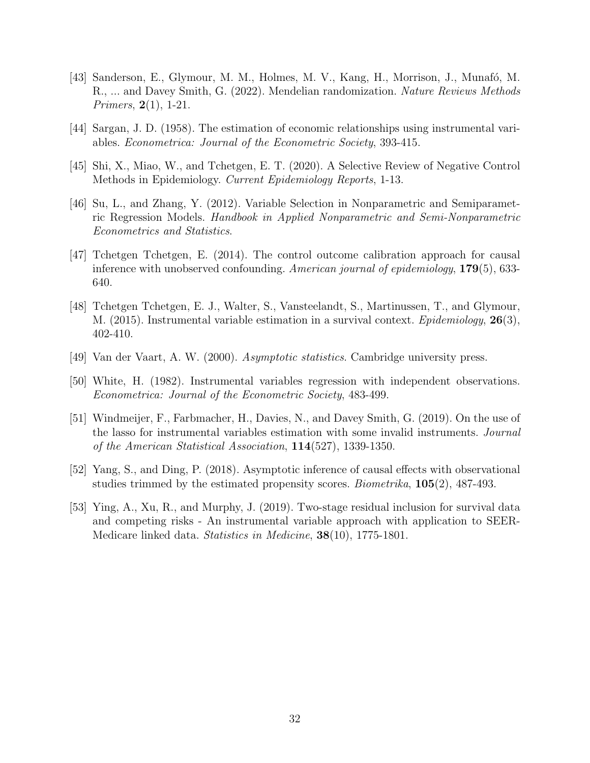- [43] Sanderson, E., Glymour, M. M., Holmes, M. V., Kang, H., Morrison, J., Munafó, M. R., ... and Davey Smith, G. (2022). Mendelian randomization. Nature Reviews Methods Primers, 2(1), 1-21.
- [44] Sargan, J. D. (1958). The estimation of economic relationships using instrumental variables. Econometrica: Journal of the Econometric Society, 393-415.
- [45] Shi, X., Miao, W., and Tchetgen, E. T. (2020). A Selective Review of Negative Control Methods in Epidemiology. Current Epidemiology Reports, 1-13.
- [46] Su, L., and Zhang, Y. (2012). Variable Selection in Nonparametric and Semiparametric Regression Models. Handbook in Applied Nonparametric and Semi-Nonparametric Econometrics and Statistics.
- [47] Tchetgen Tchetgen, E. (2014). The control outcome calibration approach for causal inference with unobserved confounding. American journal of epidemiology,  $179(5)$ , 633-640.
- [48] Tchetgen Tchetgen, E. J., Walter, S., Vansteelandt, S., Martinussen, T., and Glymour, M. (2015). Instrumental variable estimation in a survival context. *Epidemiology*,  $26(3)$ , 402-410.
- [49] Van der Vaart, A. W. (2000). Asymptotic statistics. Cambridge university press.
- [50] White, H. (1982). Instrumental variables regression with independent observations. Econometrica: Journal of the Econometric Society, 483-499.
- [51] Windmeijer, F., Farbmacher, H., Davies, N., and Davey Smith, G. (2019). On the use of the lasso for instrumental variables estimation with some invalid instruments. Journal of the American Statistical Association, 114(527), 1339-1350.
- [52] Yang, S., and Ding, P. (2018). Asymptotic inference of causal effects with observational studies trimmed by the estimated propensity scores.  $Biometrika$ ,  $105(2)$ ,  $487-493$ .
- [53] Ying, A., Xu, R., and Murphy, J. (2019). Two-stage residual inclusion for survival data and competing risks - An instrumental variable approach with application to SEER-Medicare linked data. Statistics in Medicine, 38(10), 1775-1801.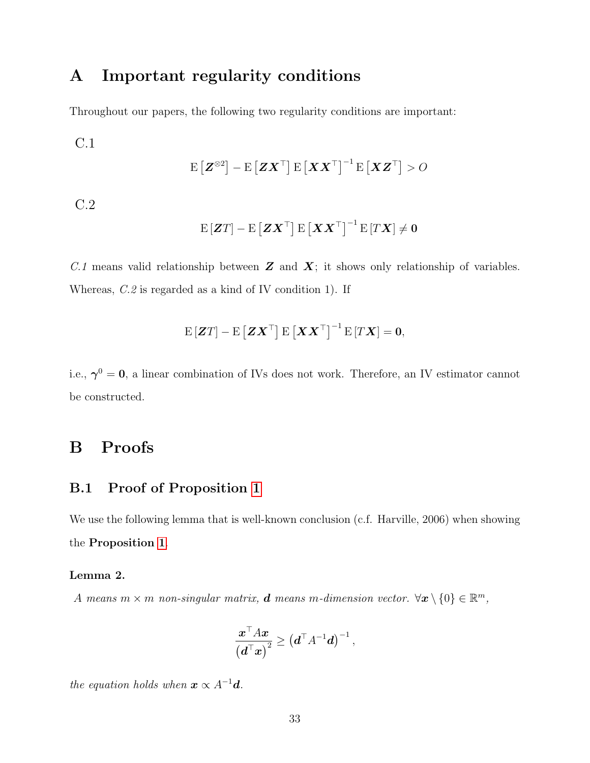# A Important regularity conditions

Throughout our papers, the following two regularity conditions are important:

$$
\mathrm{C.1}
$$

$$
\mathrm{E}\left[\boldsymbol{Z}^{\otimes 2}\right] - \mathrm{E}\left[\boldsymbol{Z}\boldsymbol{X}^{\top}\right] \mathrm{E}\left[\boldsymbol{X}\boldsymbol{X}^{\top}\right]^{-1} \mathrm{E}\left[\boldsymbol{X}\boldsymbol{Z}^{\top}\right] > O
$$

C.2

$$
\mathrm{E}\left[\boldsymbol{Z}T\right]-\mathrm{E}\left[\boldsymbol{Z}\boldsymbol{X}^{\top}\right]\mathrm{E}\left[\boldsymbol{X}\boldsymbol{X}^{\top}\right]^{-1}\mathrm{E}\left[T\boldsymbol{X}\right]\neq\boldsymbol{0}
$$

C.1 means valid relationship between  $\boldsymbol{Z}$  and  $\boldsymbol{X}$ ; it shows only relationship of variables. Whereas, C.2 is regarded as a kind of IV condition 1). If

$$
\mathrm{E}\left[\boldsymbol{Z}T\right] - \mathrm{E}\left[\boldsymbol{Z}\boldsymbol{X}^{\top}\right]\mathrm{E}\left[\boldsymbol{X}\boldsymbol{X}^{\top}\right]^{-1}\mathrm{E}\left[T\boldsymbol{X}\right] = \boldsymbol{0},
$$

i.e.,  $\gamma^0 = 0$ , a linear combination of IVs does not work. Therefore, an IV estimator cannot be constructed.

# B Proofs

# B.1 Proof of Proposition [1](#page-6-1)

We use the following lemma that is well-known conclusion (c.f. Harville, 2006) when showing the Proposition [1](#page-6-1).

### <span id="page-32-0"></span>Lemma 2.

A means  $m \times m$  non-singular matrix, **d** means m-dimension vector.  $\forall x \setminus \{0\} \in \mathbb{R}^m$ ,

$$
\frac{\boldsymbol{x}^\top A\boldsymbol{x}}{\left(\boldsymbol{d}^\top\boldsymbol{x}\right)^2} \geq \left(\boldsymbol{d}^\top A^{-1}\boldsymbol{d}\right)^{-1},
$$

the equation holds when  $\mathbf{x} \propto A^{-1} \mathbf{d}$ .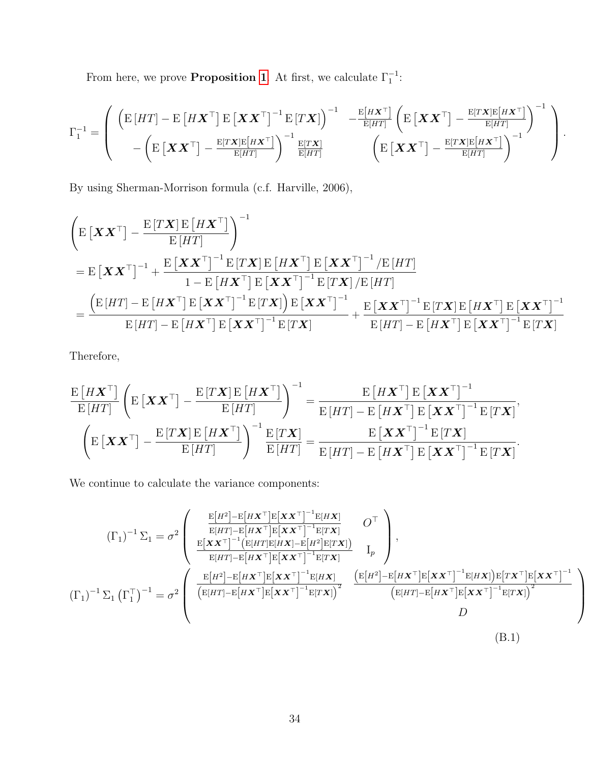From here, we prove **Proposition [1](#page-6-1)**. At first, we calculate  $\Gamma_1^{-1}$ :

$$
\Gamma_1^{-1} = \left( \begin{array}{cc} \left( \mathbf{E} \left[ HT \right] - \mathbf{E} \left[ H \mathbf{X}^\top \right] \mathbf{E} \left[ \mathbf{X} \mathbf{X}^\top \right]^{-1} \mathbf{E} \left[ T \mathbf{X} \right] \right)^{-1} & -\frac{\mathbf{E} \left[ H \mathbf{X}^\top \right]}{\mathbf{E} \left[ HT \right]} \left( \mathbf{E} \left[ \mathbf{X} \mathbf{X}^\top \right] - \frac{\mathbf{E} \left[ T \mathbf{X} \right] \mathbf{E} \left[ H \mathbf{X}^\top \right]}{-1} \right)^{-1} \\ & -\left( \mathbf{E} \left[ \mathbf{X} \mathbf{X}^\top \right] - \frac{\mathbf{E} \left[ T \mathbf{X} \right] \mathbf{E} \left[ H \mathbf{X}^\top \right]}{\mathbf{E} \left[ HT \right]} \right)^{-1} \frac{\mathbf{E} \left[ T \mathbf{X} \right]}{\mathbf{E} \left[ HT \right]} & \left( \mathbf{E} \left[ \mathbf{X} \mathbf{X}^\top \right] - \frac{\mathbf{E} \left[ T \mathbf{X} \right] \mathbf{E} \left[ H \mathbf{X}^\top \right]}{\mathbf{E} \left[ HT \right]} \right)^{-1} \end{array} \right).
$$

By using Sherman-Morrison formula (c.f. Harville, 2006),

$$
\begin{aligned}\n&\left(\mathbf{E}\left[\mathbf{X}\mathbf{X}^{\top}\right]-\frac{\mathbf{E}\left[T\mathbf{X}\right]\mathbf{E}\left[H\mathbf{X}^{\top}\right]}{\mathbf{E}\left[HT\right]}\right)^{-1} \\
&=\mathbf{E}\left[\mathbf{X}\mathbf{X}^{\top}\right]^{-1}+\frac{\mathbf{E}\left[\mathbf{X}\mathbf{X}^{\top}\right]^{-1}\mathbf{E}\left[T\mathbf{X}\right]\mathbf{E}\left[H\mathbf{X}^{\top}\right]\mathbf{E}\left[\mathbf{X}\mathbf{X}^{\top}\right]^{-1}/\mathbf{E}\left[HT\right]}{1-\mathbf{E}\left[H\mathbf{X}^{\top}\right]\mathbf{E}\left[\mathbf{X}\mathbf{X}^{\top}\right]^{-1}\mathbf{E}\left[T\mathbf{X}\right]/\mathbf{E}\left[HT\right]} \\
&=\frac{\left(\mathbf{E}\left[HT\right]-\mathbf{E}\left[H\mathbf{X}^{\top}\right]\mathbf{E}\left[\mathbf{X}\mathbf{X}^{\top}\right]^{-1}\mathbf{E}\left[T\mathbf{X}\right]\right)\mathbf{E}\left[\mathbf{X}\mathbf{X}^{\top}\right]^{-1}}{\mathbf{E}\left[HT\right]-\mathbf{E}\left[H\mathbf{X}^{\top}\right]\mathbf{E}\left[\mathbf{X}\mathbf{X}^{\top}\right]^{-1}\mathbf{E}\left[T\mathbf{X}\right]}\n\end{aligned}
$$

Therefore,

$$
\frac{\mathrm{E}\left[HX^{\top}\right]}{\mathrm{E}\left[HT\right]}\left(\mathrm{E}\left[XX^{\top}\right]-\frac{\mathrm{E}\left[TX\right]\mathrm{E}\left[HX^{\top}\right]}{\mathrm{E}\left[HT\right]}\right)^{-1}=\frac{\mathrm{E}\left[HX^{\top}\right]\mathrm{E}\left[XX^{\top}\right]^{-1}}{\mathrm{E}\left[HT\right]-\mathrm{E}\left[HX^{\top}\right]\mathrm{E}\left[XX^{\top}\right]^{-1}\mathrm{E}\left[TX\right]},\\ \left(\mathrm{E}\left[XX^{\top}\right]-\frac{\mathrm{E}\left[TX\right]\mathrm{E}\left[HX^{\top}\right]}{\mathrm{E}\left[HT\right]}\right)^{-1}\frac{\mathrm{E}\left[TX\right]}{\mathrm{E}\left[HT\right]}=\frac{\mathrm{E}\left[XX^{\top}\right]^{-1}\mathrm{E}\left[TX\right]}{\mathrm{E}\left[HT\right]-\mathrm{E}\left[HX^{\top}\right]^{-1}\mathrm{E}\left[TX\right]}.
$$

We continue to calculate the variance components:

$$
\left(\Gamma_{1}\right)^{-1}\Sigma_{1} = \sigma^{2}\left(\begin{array}{cc} \frac{\mathbf{E}[H^{2}] - \mathbf{E}[H\mathbf{X}^{\top}] \mathbf{E}[\mathbf{X}\mathbf{X}^{\top}]^{-1} \mathbf{E}[H\mathbf{X}]}{\mathbf{E}[H\mathbf{T}] - \mathbf{E}[H\mathbf{X}^{\top}] \mathbf{E}[\mathbf{X}\mathbf{X}^{\top}]^{-1} \mathbf{E}[T\mathbf{X}]} & O^{\top} \\ \frac{\mathbf{E}[\mathbf{X}\mathbf{X}^{\top}]^{-1} (\mathbf{E}[H\mathbf{T}] \mathbf{E}[H\mathbf{X}] - \mathbf{E}[H^{2}] \mathbf{E}[T\mathbf{X}])}{\mathbf{E}[H\mathbf{T}] - \mathbf{E}[H\mathbf{X}^{\top}] \mathbf{E}[\mathbf{X}\mathbf{X}^{\top}]^{-1} \mathbf{E}[T\mathbf{X}]} & I_{p} \end{array}\right),
$$
\n
$$
\left(\Gamma_{1}\right)^{-1}\Sigma_{1} \left(\Gamma_{1}^{\top}\right)^{-1} = \sigma^{2}\left(\begin{array}{cc} \frac{\mathbf{E}[H^{2}] - \mathbf{E}[H\mathbf{X}^{\top}] \mathbf{E}[\mathbf{X}\mathbf{X}^{\top}]^{-1} \mathbf{E}[H\mathbf{X}]}{\mathbf{E}[H\mathbf{T}] - \mathbf{E}[H\mathbf{X}^{\top}] \mathbf{E}[\mathbf{X}\mathbf{X}^{\top}]^{-1} \mathbf{E}[T\mathbf{X}]} & \frac{\mathbf{E}[H^{2}] - \mathbf{E}[H\mathbf{X}^{\top}] \mathbf{E}[\mathbf{X}\mathbf{X}^{\top}]^{-1} \mathbf{E}[H\mathbf{X}]}{\mathbf{E}[H\mathbf{T}] - \mathbf{E}[H\mathbf{X}^{\top}] \mathbf{E}[\mathbf{X}\mathbf{X}^{\top}]^{-1} \mathbf{E}[T\mathbf{X}]} & \frac{\mathbf{E}[H^{2}] - \mathbf{E}[H\mathbf{X}^{\top}] \mathbf{E}[\mathbf{X}\mathbf{X}^{\top}]^{-1} \mathbf{E}[H\mathbf{X}]}{\mathbf{E}[H\mathbf{T}] - \mathbf{E}[H\mathbf{X}^{\top}] \mathbf
$$

 $\setminus$ 

<span id="page-33-0"></span> $\Big\}$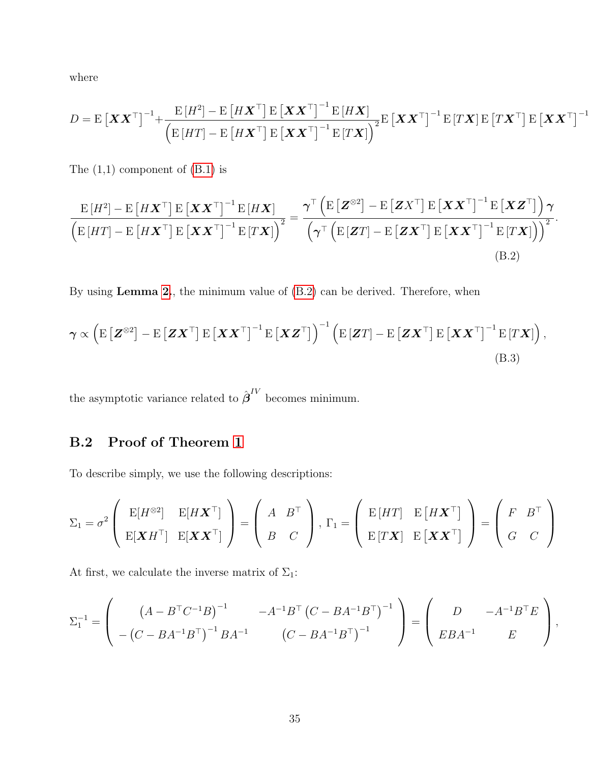where

$$
D = \mathrm{E}\left[\boldsymbol{X}\boldsymbol{X}^{\top}\right]^{-1} + \frac{\mathrm{E}\left[H^2\right] - \mathrm{E}\left[H\boldsymbol{X}^{\top}\right]\mathrm{E}\left[\boldsymbol{X}\boldsymbol{X}^{\top}\right]^{-1}\mathrm{E}\left[H\boldsymbol{X}\right]}{\left(\mathrm{E}\left[HT\right] - \mathrm{E}\left[H\boldsymbol{X}^{\top}\right]\mathrm{E}\left[\boldsymbol{X}\boldsymbol{X}^{\top}\right]^{-1}\mathrm{E}\left[T\boldsymbol{X}\right]\right)^{2}}\mathrm{E}\left[\boldsymbol{X}\boldsymbol{X}^{\top}\right]^{-1}\mathrm{E}\left[T\boldsymbol{X}\right]\mathrm{E}\left[T\boldsymbol{X}^{\top}\right]\mathrm{E}\left[\boldsymbol{X}\boldsymbol{X}^{\top}\right]^{-1}
$$

The  $(1,1)$  component of  $(B.1)$  is

<span id="page-34-0"></span>
$$
\frac{\mathrm{E}[H^{2}] - \mathrm{E}[H\mathbf{X}^{\top}] \mathrm{E}[\mathbf{X}\mathbf{X}^{\top}]^{-1} \mathrm{E}[H\mathbf{X}]}{\left(\mathrm{E}[H\mathbf{T}] - \mathrm{E}[H\mathbf{X}^{\top}] \mathrm{E}[\mathbf{X}\mathbf{X}^{\top}]^{-1} \mathrm{E}[\mathbf{T}\mathbf{X}]\right)^{2}} = \frac{\gamma^{\top} (\mathrm{E}[\mathbf{Z}^{\otimes 2}] - \mathrm{E}[\mathbf{Z}\mathbf{X}^{\top}] \mathrm{E}[\mathbf{X}\mathbf{X}^{\top}]^{-1} \mathrm{E}[\mathbf{X}\mathbf{Z}^{\top}]) \gamma}{\left(\gamma^{\top} (\mathrm{E}[\mathbf{Z}T] - \mathrm{E}[\mathbf{Z}\mathbf{X}^{\top}] \mathrm{E}[\mathbf{X}\mathbf{X}^{\top}]^{-1} \mathrm{E}[\mathbf{T}\mathbf{X}])\right)^{2}}.
$$
\n(B.2)

By using Lemma [2.](#page-32-0), the minimum value of [\(B.2\)](#page-34-0) can be derived. Therefore, when

$$
\boldsymbol{\gamma} \propto \left( \mathbf{E} \left[ \mathbf{Z}^{\otimes 2} \right] - \mathbf{E} \left[ \mathbf{Z} \mathbf{X}^{\top} \right] \mathbf{E} \left[ \mathbf{X} \mathbf{X}^{\top} \right]^{-1} \mathbf{E} \left[ \mathbf{X} \mathbf{Z}^{\top} \right] \right)^{-1} \left( \mathbf{E} \left[ \mathbf{Z} \mathbf{T} \right] - \mathbf{E} \left[ \mathbf{Z} \mathbf{X}^{\top} \right] \mathbf{E} \left[ \mathbf{X} \mathbf{X}^{\top} \right]^{-1} \mathbf{E} \left[ \mathbf{T} \mathbf{X} \right] \right),
$$
\n(B.3)

the asymptotic variance related to  $\hat{\boldsymbol{\beta}}^{IV}$  becomes minimum.

# B.2 Proof of Theorem [1](#page-8-0)

To describe simply, we use the following descriptions:

$$
\Sigma_1 = \sigma^2 \left( \begin{array}{cc} E[H^{\otimes 2}] & E[HX^{\top}] \\ E[{\bm X}H^{\top}] & E[{\bm X} {\bm X}^{\top}] \end{array} \right) = \left( \begin{array}{cc} A & B^{\top} \\ B & C \end{array} \right), \ \Gamma_1 = \left( \begin{array}{cc} E\, [HT] & E\, [H{\bm X}^{\top}] \\ E\, [TX] & E\, [\bm X {\bm X}^{\top}] \end{array} \right) = \left( \begin{array}{cc} F & B^{\top} \\ G & C \end{array} \right)
$$

At first, we calculate the inverse matrix of  $\Sigma_1$ :

$$
\Sigma_1^{-1} = \begin{pmatrix} (A - B^{\top}C^{-1}B)^{-1} & -A^{-1}B^{\top} (C - BA^{-1}B^{\top})^{-1} \\ -(C - BA^{-1}B^{\top})^{-1}BA^{-1} & (C - BA^{-1}B^{\top})^{-1} \end{pmatrix} = \begin{pmatrix} D & -A^{-1}B^{\top}E \\ EBA^{-1} & E \end{pmatrix},
$$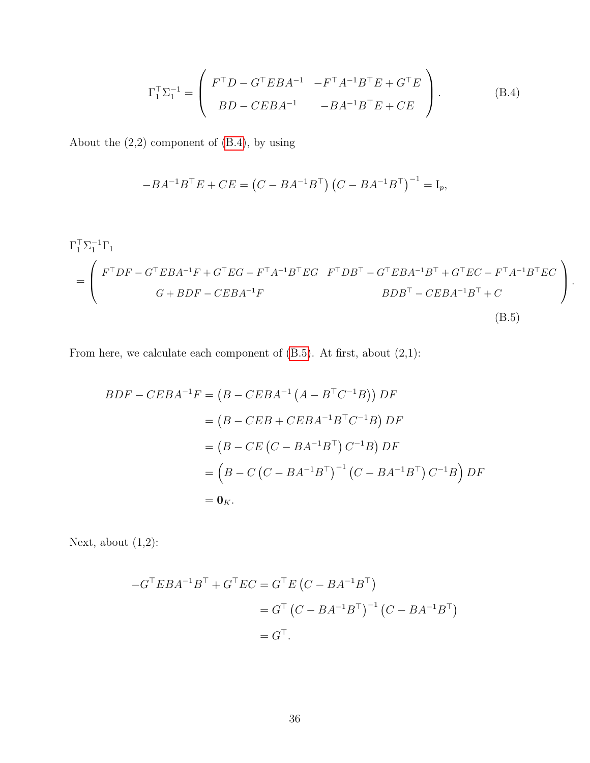<span id="page-35-0"></span>
$$
\Gamma_1^{\top} \Sigma_1^{-1} = \begin{pmatrix} F^{\top} D - G^{\top} E B A^{-1} & -F^{\top} A^{-1} B^{\top} E + G^{\top} E \\ B D - C E B A^{-1} & -B A^{-1} B^{\top} E + C E \end{pmatrix}.
$$
 (B.4)

About the (2,2) component of [\(B.4\)](#page-35-0), by using

<span id="page-35-1"></span>
$$
-BA^{-1}B^{\top}E + CE = (C - BA^{-1}B^{\top})(C - BA^{-1}B^{\top})^{-1} = I_p,
$$

$$
\Gamma_1^{\top} \Sigma_1^{-1} \Gamma_1
$$
\n
$$
= \begin{pmatrix}\nF^{\top} DF - G^{\top} EBA^{-1} F + G^{\top} EG - F^{\top} A^{-1} B^{\top} EG & F^{\top} DB^{\top} - G^{\top} EBA^{-1} B^{\top} + G^{\top} EC - F^{\top} A^{-1} B^{\top} EC \\
G + BDF - C EBA^{-1} F & BDB^{\top} - C EBA^{-1} B^{\top} + C\n\end{pmatrix}.
$$
\n(B.5)

From here, we calculate each component of  $(B.5)$ . At first, about  $(2,1)$ :

$$
BDF - CEBA^{-1}F = (B - CEBA^{-1} (A - B^{\top}C^{-1}B)) DF
$$
  
=  $(B - CEB + CEBA^{-1}B^{\top}C^{-1}B) DF$   
=  $(B - CE (C - BA^{-1}B^{\top}) C^{-1}B) DF$   
=  $(B - C (C - BA^{-1}B^{\top})^{-1} (C - BA^{-1}B^{\top}) C^{-1}B) DF$   
=  $0_K$ .

Next, about  $(1,2)$ :

$$
-G^{\top}EBA^{-1}B^{\top} + G^{\top}EC = G^{\top}E(C - BA^{-1}B^{\top})
$$
  
=  $G^{\top} (C - BA^{-1}B^{\top})^{-1} (C - BA^{-1}B^{\top})$   
=  $G^{\top}$ .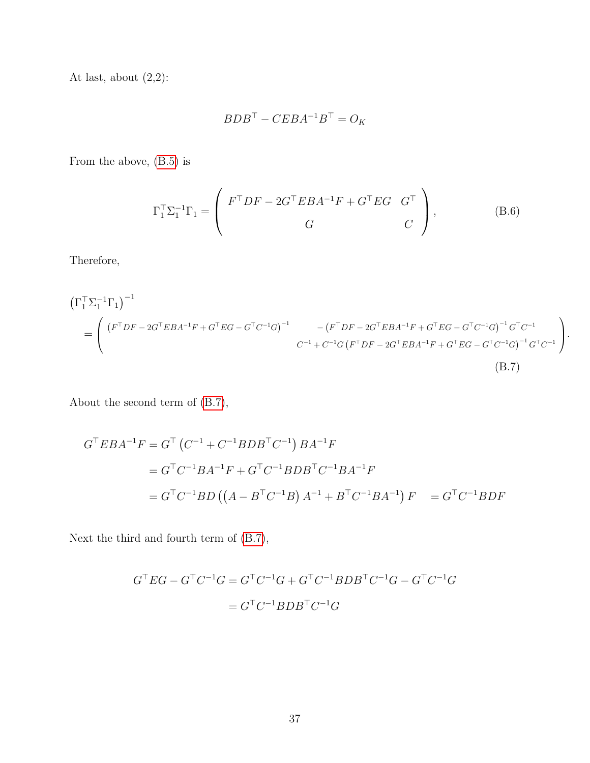At last, about  $(2,2)$ :

<span id="page-36-0"></span>
$$
BDB^\top - CEBA^{-1}B^\top = O_K
$$

From the above, [\(B.5\)](#page-35-1) is

$$
\Gamma_1^{\top} \Sigma_1^{-1} \Gamma_1 = \begin{pmatrix} F^{\top} DF - 2G^{\top} EBA^{-1} F + G^{\top} EG & G^{\top} \\ G & C \end{pmatrix}, \tag{B.6}
$$

Therefore,

$$
\begin{split} \left(\Gamma_{1}^{\top} \Sigma_{1}^{-1} \Gamma_{1}\right)^{-1} \\ &= \left( \begin{array}{cc} \left(F^{\top} D F - 2G^{\top} E B A^{-1} F + G^{\top} E G - G^{\top} C^{-1} G\right)^{-1} & - \left(F^{\top} D F - 2G^{\top} E B A^{-1} F + G^{\top} E G - G^{\top} C^{-1} G\right)^{-1} G^{\top} C^{-1} \\ & C^{-1} + C^{-1} G \left(F^{\top} D F - 2G^{\top} E B A^{-1} F + G^{\top} E G - G^{\top} C^{-1} G\right)^{-1} G^{\top} C^{-1} \end{array} \right). \end{split} \tag{B.7}
$$

About the second term of [\(B.7\)](#page-36-0),

$$
G^{\top}EBA^{-1}F = G^{\top} (C^{-1} + C^{-1}BDB^{\top}C^{-1}) BA^{-1}F
$$
  
=  $G^{\top}C^{-1}BA^{-1}F + G^{\top}C^{-1}BDB^{\top}C^{-1}BA^{-1}F$   
=  $G^{\top}C^{-1}BD ((A - B^{\top}C^{-1}B) A^{-1} + B^{\top}C^{-1}BA^{-1}) F = G^{\top}C^{-1}BDF$ 

Next the third and fourth term of [\(B.7\)](#page-36-0),

$$
G^{\top}EG - G^{\top}C^{-1}G = G^{\top}C^{-1}G + G^{\top}C^{-1}BDB^{\top}C^{-1}G - G^{\top}C^{-1}G
$$

$$
= G^{\top}C^{-1}BDB^{\top}C^{-1}G
$$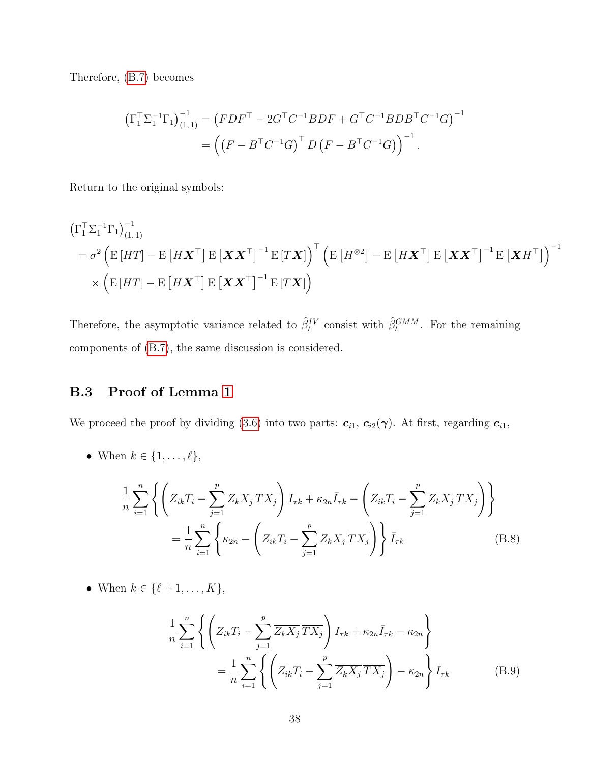Therefore, [\(B.7\)](#page-36-0) becomes

$$
\left(\Gamma_1^{\top} \Sigma_1^{-1} \Gamma_1\right)_{(1,1)}^{-1} = \left(FDF^{\top} - 2G^{\top}C^{-1}BDF + G^{\top}C^{-1}BDB^{\top}C^{-1}G\right)^{-1}
$$

$$
= \left(\left(F - B^{\top}C^{-1}G\right)^{\top}D\left(F - B^{\top}C^{-1}G\right)\right)^{-1}.
$$

Return to the original symbols:

$$
\begin{aligned}\n\left(\Gamma_1^\top \Sigma_1^{-1} \Gamma_1\right)_{(1,1)}^{-1} \\
&= \sigma^2 \left( \mathbf{E}\left[HT\right] - \mathbf{E}\left[ H \mathbf{X}^\top \right] \mathbf{E} \left[ \mathbf{X} \mathbf{X}^\top \right]^{-1} \mathbf{E}\left[ T \mathbf{X} \right] \right)^\top \left( \mathbf{E}\left[ H^{\otimes 2} \right] - \mathbf{E}\left[ H \mathbf{X}^\top \right] \mathbf{E}\left[ \mathbf{X} \mathbf{X}^\top \right]^{-1} \mathbf{E}\left[ \mathbf{X} H^\top \right] \right)^{-1} \\
&\times \left( \mathbf{E}\left[ HT \right] - \mathbf{E}\left[ H \mathbf{X}^\top \right] \mathbf{E}\left[ \mathbf{X} \mathbf{X}^\top \right]^{-1} \mathbf{E}\left[ T \mathbf{X} \right] \right)\n\end{aligned}
$$

Therefore, the asymptotic variance related to  $\hat{\beta}_t^{IV}$  consist with  $\hat{\beta}_t^{GMM}$ . For the remaining components of [\(B.7\)](#page-36-0), the same discussion is considered.

# B.3 Proof of Lemma [1](#page-14-0)

We proceed the proof by dividing [\(3.6\)](#page-14-3) into two parts:  $c_{i1}$ ,  $c_{i2}(\gamma)$ . At first, regarding  $c_{i1}$ ,

• When  $k \in \{1, \ldots, \ell\},\$ 

$$
\frac{1}{n} \sum_{i=1}^{n} \left\{ \left( Z_{ik} T_{i} - \sum_{j=1}^{p} \overline{Z_{k} X_{j}} \overline{T X_{j}} \right) I_{\tau k} + \kappa_{2n} \overline{I}_{\tau k} - \left( Z_{ik} T_{i} - \sum_{j=1}^{p} \overline{Z_{k} X_{j}} \overline{T X_{j}} \right) \right\}
$$
\n
$$
= \frac{1}{n} \sum_{i=1}^{n} \left\{ \kappa_{2n} - \left( Z_{ik} T_{i} - \sum_{j=1}^{p} \overline{Z_{k} X_{j}} \overline{T X_{j}} \right) \right\} \overline{I}_{\tau k}
$$
\n(B.8)

• When  $k \in \{\ell + 1, \ldots, K\},\$ 

<span id="page-37-1"></span><span id="page-37-0"></span>
$$
\frac{1}{n} \sum_{i=1}^{n} \left\{ \left( Z_{ik} T_{i} - \sum_{j=1}^{p} \overline{Z_{k} X_{j}} \overline{T X_{j}} \right) I_{\tau k} + \kappa_{2n} \overline{I}_{\tau k} - \kappa_{2n} \right\}
$$
\n
$$
= \frac{1}{n} \sum_{i=1}^{n} \left\{ \left( Z_{ik} T_{i} - \sum_{j=1}^{p} \overline{Z_{k} X_{j}} \overline{T X_{j}} \right) - \kappa_{2n} \right\} I_{\tau k}
$$
\n(B.9)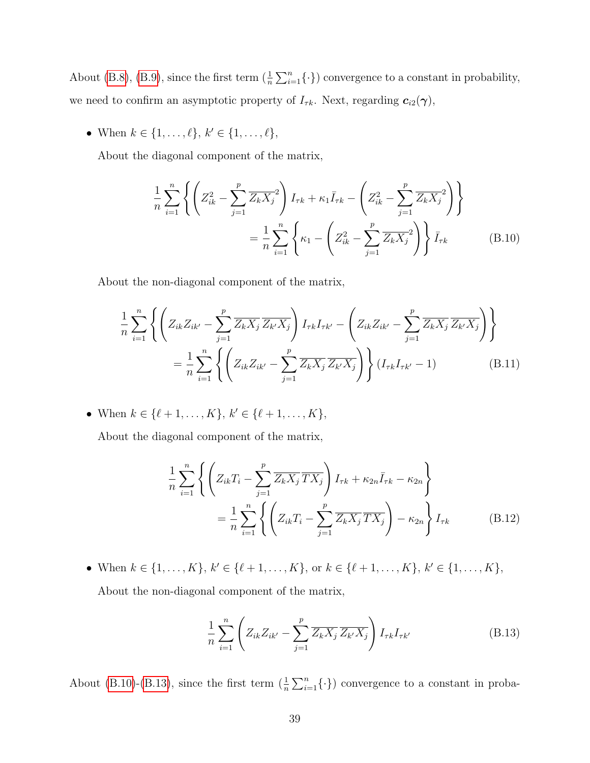About [\(B.8\)](#page-37-0), [\(B.9\)](#page-37-1), since the first term  $(\frac{1}{n}\sum_{i=1}^{n} \{\cdot\})$  convergence to a constant in probability, we need to confirm an asymptotic property of  $I_{\tau k}$ . Next, regarding  $c_{i2}(\gamma)$ ,

• When  $k \in \{1, ..., \ell\}, k' \in \{1, ..., \ell\},\$ 

About the diagonal component of the matrix,

<span id="page-38-0"></span>
$$
\frac{1}{n} \sum_{i=1}^{n} \left\{ \left( Z_{ik}^{2} - \sum_{j=1}^{p} \overline{Z_{k} X_{j}}^{2} \right) I_{\tau k} + \kappa_{1} \overline{I}_{\tau k} - \left( Z_{ik}^{2} - \sum_{j=1}^{p} \overline{Z_{k} X_{j}}^{2} \right) \right\}
$$
\n
$$
= \frac{1}{n} \sum_{i=1}^{n} \left\{ \kappa_{1} - \left( Z_{ik}^{2} - \sum_{j=1}^{p} \overline{Z_{k} X_{j}}^{2} \right) \right\} \overline{I}_{\tau k}
$$
\n(B.10)

About the non-diagonal component of the matrix,

$$
\frac{1}{n} \sum_{i=1}^{n} \left\{ \left( Z_{ik} Z_{ik'} - \sum_{j=1}^{p} \overline{Z_{k} X_{j}} \overline{Z_{k'} X_{j}} \right) I_{\tau k} I_{\tau k'} - \left( Z_{ik} Z_{ik'} - \sum_{j=1}^{p} \overline{Z_{k} X_{j}} \overline{Z_{k'} X_{j}} \right) \right\}
$$
\n
$$
= \frac{1}{n} \sum_{i=1}^{n} \left\{ \left( Z_{ik} Z_{ik'} - \sum_{j=1}^{p} \overline{Z_{k} X_{j}} \overline{Z_{k'} X_{j}} \right) \right\} (I_{\tau k} I_{\tau k'} - 1) \tag{B.11}
$$

• When  $k \in \{\ell + 1, \ldots, K\}, k' \in \{\ell + 1, \ldots, K\},\$ 

About the diagonal component of the matrix,

$$
\frac{1}{n} \sum_{i=1}^{n} \left\{ \left( Z_{ik} T_{i} - \sum_{j=1}^{p} \overline{Z_{k} X_{j}} \overline{T X_{j}} \right) I_{\tau k} + \kappa_{2n} \overline{I}_{\tau k} - \kappa_{2n} \right\}
$$
\n
$$
= \frac{1}{n} \sum_{i=1}^{n} \left\{ \left( Z_{ik} T_{i} - \sum_{j=1}^{p} \overline{Z_{k} X_{j}} \overline{T X_{j}} \right) - \kappa_{2n} \right\} I_{\tau k}
$$
\n(B.12)

• When  $k \in \{1, ..., K\}$ ,  $k' \in \{\ell + 1, ..., K\}$ , or  $k \in \{\ell + 1, ..., K\}$ ,  $k' \in \{1, ..., K\}$ ,

About the non-diagonal component of the matrix,

<span id="page-38-1"></span>
$$
\frac{1}{n} \sum_{i=1}^{n} \left( Z_{ik} Z_{ik'} - \sum_{j=1}^{p} \overline{Z_{k} X_{j}} \, \overline{Z_{k'} X_{j}} \right) I_{\tau k} I_{\tau k'} \tag{B.13}
$$

About [\(B.10\)](#page-38-0)-[\(B.13\)](#page-38-1), since the first term  $(\frac{1}{n}\sum_{i=1}^{n} \{\cdot\})$  convergence to a constant in proba-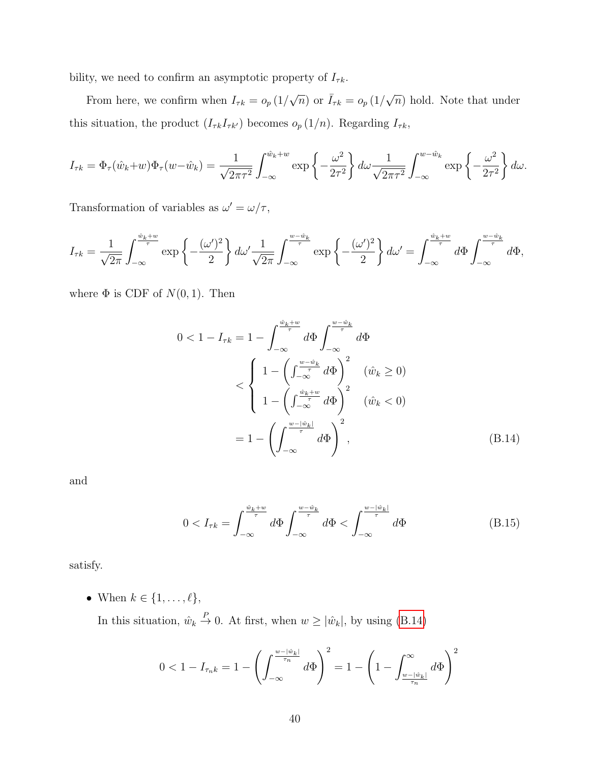bility, we need to confirm an asymptotic property of  $I_{\tau k}$ .

From here, we confirm when  $I_{\tau k} = o_p (1/$  $\sqrt{n}$ ) or  $\bar{I}_{\tau k} = o_p(1/\sqrt{n})$  $\overline{n}$ ) hold. Note that under this situation, the product  $(I_{\tau k}I_{\tau k'})$  becomes  $o_p(1/n)$ . Regarding  $I_{\tau k}$ ,

$$
I_{\tau k} = \Phi_{\tau}(\hat{w}_k + w)\Phi_{\tau}(w - \hat{w}_k) = \frac{1}{\sqrt{2\pi\tau^2}} \int_{-\infty}^{\hat{w}_k + w} \exp\left\{-\frac{\omega^2}{2\tau^2}\right\} d\omega \frac{1}{\sqrt{2\pi\tau^2}} \int_{-\infty}^{w - \hat{w}_k} \exp\left\{-\frac{\omega^2}{2\tau^2}\right\} d\omega.
$$

Transformation of variables as  $\omega' = \omega/\tau$ ,

$$
I_{\tau k} = \frac{1}{\sqrt{2\pi}} \int_{-\infty}^{\frac{\hat{w}_k + w}{\tau}} \exp\left\{-\frac{(\omega')^2}{2}\right\} d\omega' \frac{1}{\sqrt{2\pi}} \int_{-\infty}^{\frac{w - \hat{w}_k}{\tau}} \exp\left\{-\frac{(\omega')^2}{2}\right\} d\omega' = \int_{-\infty}^{\frac{\hat{w}_k + w}{\tau}} d\Phi \int_{-\infty}^{\frac{w - \hat{w}_k}{\tau}} d\Phi,
$$

where  $\Phi$  is CDF of  $N(0, 1)$ . Then

$$
0 < 1 - I_{\tau k} = 1 - \int_{-\infty}^{\frac{\hat{w}_k + w}{\tau}} d\Phi \int_{-\infty}^{\frac{w - \hat{w}_k}{\tau}} d\Phi
$$
\n
$$
< \begin{cases} 1 - \left(\int_{-\infty}^{\frac{w - \hat{w}_k}{\tau}} d\Phi\right)^2 & (\hat{w}_k \ge 0) \\ 1 - \left(\int_{-\infty}^{\frac{\hat{w}_k + w}{\tau}} d\Phi\right)^2 & (\hat{w}_k < 0) \end{cases}
$$
\n
$$
= 1 - \left(\int_{-\infty}^{\frac{w - |\hat{w}_k|}{\tau}} d\Phi\right)^2, \tag{B.14}
$$

and

<span id="page-39-1"></span><span id="page-39-0"></span>
$$
0 < I_{\tau k} = \int_{-\infty}^{\frac{\hat{w}_k + w}{\tau}} d\Phi \int_{-\infty}^{\frac{w - \hat{w}_k}{\tau}} d\Phi < \int_{-\infty}^{\frac{w - |\hat{w}_k|}{\tau}} d\Phi \tag{B.15}
$$

satisfy.

• When  $k \in \{1, \ldots, \ell\},\$ 

In this situation,  $\hat{w}_k \stackrel{P}{\rightarrow} 0$ . At first, when  $w \geq |\hat{w}_k|$ , by using [\(B.14\)](#page-39-0)

$$
0 < 1 - I_{\tau_n k} = 1 - \left( \int_{-\infty}^{\frac{w - |\hat{w}_k|}{\tau_n}} d\Phi \right)^2 = 1 - \left( 1 - \int_{\frac{w - |\hat{w}_k|}{\tau_n}}^{\infty} d\Phi \right)^2
$$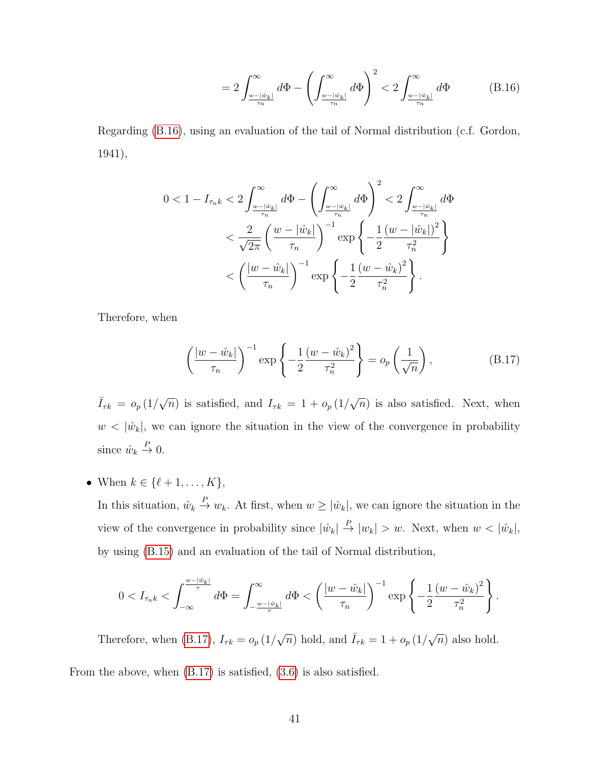<span id="page-40-0"></span>
$$
=2\int_{\frac{w-|\hat{w}_k|}{\tau_n}}^{\infty}d\Phi-\left(\int_{\frac{w-|\hat{w}_k|}{\tau_n}}^{\infty}d\Phi\right)^2<2\int_{\frac{w-|\hat{w}_k|}{\tau_n}}^{\infty}d\Phi\qquad(B.16)
$$

Regarding [\(B.16\)](#page-40-0), using an evaluation of the tail of Normal distribution (c.f. Gordon, 1941),

$$
\begin{split} 0<1-I_{\tau_{n}k} &< 2\int_{\frac{w-|\hat{w}_k|}{\tau_n}}^{\infty}d\Phi - \left(\int_{\frac{w-|\hat{w}_k|}{\tau_n}}^{\infty}d\Phi\right)^2 < 2\int_{\frac{w-|\hat{w}_k|}{\tau_n}}^{\infty}d\Phi \\ &< \frac{2}{\sqrt{2\pi}}\left(\frac{w-|\hat{w}_k|}{\tau_n}\right)^{-1}\exp\left\{-\frac{1}{2}\frac{(w-|\hat{w}_k|)^2}{\tau_n^2}\right\} \\ &< \left(\frac{|w-\hat{w}_k|}{\tau_n}\right)^{-1}\exp\left\{-\frac{1}{2}\frac{(w-\hat{w}_k)^2}{\tau_n^2}\right\}. \end{split}
$$

Therefore, when

<span id="page-40-1"></span>
$$
\left(\frac{|w-\hat{w}_k|}{\tau_n}\right)^{-1} \exp\left\{-\frac{1}{2}\frac{(w-\hat{w}_k)^2}{\tau_n^2}\right\} = o_p\left(\frac{1}{\sqrt{n}}\right),\tag{B.17}
$$

 $\bar{I}_{\tau k} = o_p(1/\sqrt{2})$  $\overline{n}$ ) is satisfied, and  $I_{\tau k} = 1 + o_p(1)$ √  $\overline{n}$ ) is also satisfied. Next, when  $w < |\hat{w}_k|$ , we can ignore the situation in the view of the convergence in probability since  $\hat{w}_k \stackrel{P}{\to} 0$ .

• When  $k \in \{\ell + 1, \ldots, K\},\$ 

In this situation,  $\hat{w}_k \stackrel{P}{\to} w_k$ . At first, when  $w \geq |\hat{w}_k|$ , we can ignore the situation in the view of the convergence in probability since  $|\hat{w}_k| \stackrel{P}{\to} |w_k| > w$ . Next, when  $w < |\hat{w}_k|$ , by using [\(B.15\)](#page-39-1) and an evaluation of the tail of Normal distribution,

$$
0
$$

Therefore, when [\(B.17\)](#page-40-1),  $I_{\tau k} = o_p (1/$  $\sqrt{n}$ ) hold, and  $\bar{I}_{\tau k} = 1 + o_p (1/\sqrt{n})$  $\overline{n}$ ) also hold. From the above, when [\(B.17\)](#page-40-1) is satisfied, [\(3.6\)](#page-14-3) is also satisfied.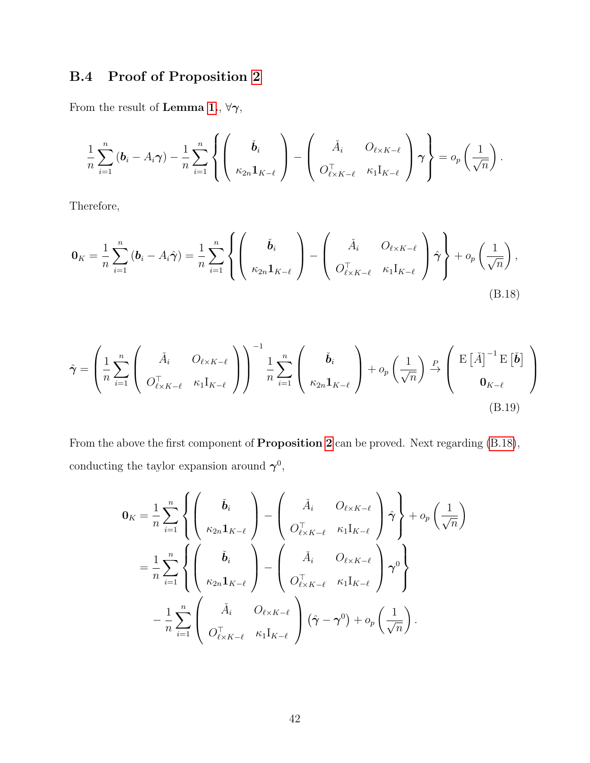# B.4 Proof of Proposition [2](#page-15-0)

From the result of  $\bf{Lemma}$  [1.](#page-14-0),  $\forall \gamma,$ 

$$
\frac{1}{n}\sum_{i=1}^n\left(\boldsymbol{b}_i-A_i\boldsymbol{\gamma}\right)-\frac{1}{n}\sum_{i=1}^n\left\{\left(\begin{array}{c}\check{\boldsymbol{b}}_i\\ \kappa_{2n}\mathbf{1}_{K-\ell}\end{array}\right)-\left(\begin{array}{cc}\check{A}_i & O_{\ell\times K-\ell}\\ O_{\ell\times K-\ell}^{\top} & \kappa_1\mathbf{1}_{K-\ell}\end{array}\right)\boldsymbol{\gamma}\right\}=o_p\left(\frac{1}{\sqrt{n}}\right).
$$

Therefore,

<span id="page-41-1"></span>
$$
\mathbf{0}_{K} = \frac{1}{n} \sum_{i=1}^{n} \left( \mathbf{b}_{i} - A_{i} \hat{\boldsymbol{\gamma}} \right) = \frac{1}{n} \sum_{i=1}^{n} \left\{ \begin{pmatrix} \check{\mathbf{b}}_{i} \\ \kappa_{2n} \mathbf{1}_{K-\ell} \end{pmatrix} - \begin{pmatrix} \check{A}_{i} & O_{\ell \times K-\ell} \\ O_{\ell \times K-\ell}^{\top} & \kappa_{1} I_{K-\ell} \end{pmatrix} \hat{\boldsymbol{\gamma}} \right\} + o_{p} \left( \frac{1}{\sqrt{n}} \right),
$$
\n(B.18)

$$
\hat{\gamma} = \left(\frac{1}{n} \sum_{i=1}^{n} \left( \begin{array}{cc} \check{A}_{i} & O_{\ell \times K - \ell} \\ O_{\ell \times K - \ell}^{\top} & \kappa_{1} I_{K - \ell} \end{array} \right)\right)^{-1} \frac{1}{n} \sum_{i=1}^{n} \left( \begin{array}{c} \check{\mathbf{b}}_{i} \\ \kappa_{2n} \mathbf{1}_{K - \ell} \end{array} \right) + o_{p} \left( \frac{1}{\sqrt{n}} \right) \xrightarrow{P} \left( \begin{array}{c} \mathrm{E} \left[ \check{A} \right]^{-1} \mathrm{E} \left[ \check{\mathbf{b}} \right] \\ \mathbf{0}_{K - \ell} \end{array} \right)
$$
\n(B.19)

From the above the first component of Proposition [2](#page-15-0) can be proved. Next regarding [\(B.18\)](#page-41-1), conducting the taylor expansion around  $\gamma^0$ ,

<span id="page-41-0"></span>
$$
0_K = \frac{1}{n} \sum_{i=1}^n \left\{ \begin{pmatrix} \check{b}_i \\ \kappa_{2n} \mathbf{1}_{K-\ell} \end{pmatrix} - \begin{pmatrix} \check{A}_i & O_{\ell \times K-\ell} \\ O_{\ell \times K-\ell}^{\top} & \kappa_1 \mathbf{I}_{K-\ell} \end{pmatrix} \hat{\gamma} \right\} + o_p \left( \frac{1}{\sqrt{n}} \right)
$$
  

$$
= \frac{1}{n} \sum_{i=1}^n \left\{ \begin{pmatrix} \check{b}_i \\ \kappa_{2n} \mathbf{1}_{K-\ell} \end{pmatrix} - \begin{pmatrix} \check{A}_i & O_{\ell \times K-\ell} \\ O_{\ell \times K-\ell}^{\top} & \kappa_1 \mathbf{I}_{K-\ell} \end{pmatrix} \gamma^0 \right\}
$$
  

$$
- \frac{1}{n} \sum_{i=1}^n \begin{pmatrix} \check{A}_i & O_{\ell \times K-\ell} \\ O_{\ell \times K-\ell}^{\top} & \kappa_1 \mathbf{I}_{K-\ell} \end{pmatrix} (\hat{\gamma} - \gamma^0) + o_p \left( \frac{1}{\sqrt{n}} \right).
$$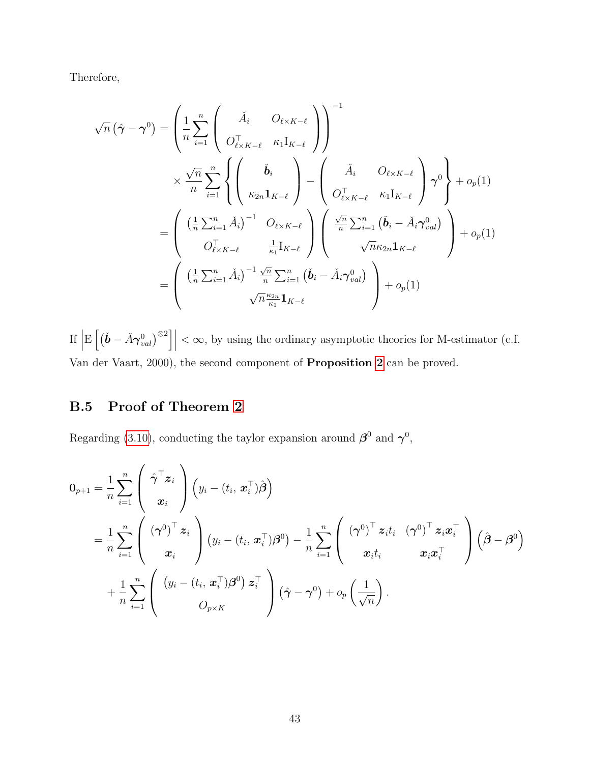Therefore,

$$
\sqrt{n} \left( \hat{\gamma} - \gamma^0 \right) = \left( \frac{1}{n} \sum_{i=1}^n \begin{pmatrix} \check{A}_i & O_{\ell \times K - \ell} \\ O_{\ell \times K - \ell}^{\top} & \kappa_1 I_{K - \ell} \end{pmatrix} \right)^{-1}
$$

$$
\times \frac{\sqrt{n}}{n} \sum_{i=1}^n \left\{ \begin{pmatrix} \check{b}_i \\ \kappa_{2n} I_{K - \ell} \end{pmatrix} - \begin{pmatrix} \check{A}_i & O_{\ell \times K - \ell} \\ O_{\ell \times K - \ell}^{\top} & \kappa_1 I_{K - \ell} \end{pmatrix} \gamma^0 \right\} + o_p(1)
$$

$$
= \left( \begin{pmatrix} \left(\frac{1}{n} \sum_{i=1}^n \check{A}_i\right)^{-1} & O_{\ell \times K - \ell} \\ O_{\ell \times K - \ell}^{\top} & \frac{1}{\kappa_1} I_{K - \ell} \end{pmatrix} \begin{pmatrix} \frac{\sqrt{n}}{n} \sum_{i=1}^n (\check{b}_i - \check{A}_i \gamma_{val}^0) \\ \sqrt{n} \kappa_{2n} I_{K - \ell} \end{pmatrix} + o_p(1)
$$

$$
= \left( \begin{pmatrix} \left(\frac{1}{n} \sum_{i=1}^n \check{A}_i\right)^{-1} \frac{\sqrt{n}}{n} \sum_{i=1}^n (\check{b}_i - \check{A}_i \gamma_{val}^0) \\ \sqrt{n} \frac{\kappa_{2n}}{\kappa_1} I_{K - \ell} \end{pmatrix} + o_p(1)
$$

If  $\Big|$  $\mathrm{E}\left[\left(\check{\boldsymbol{b}}-\check{A}\boldsymbol{\gamma}_{val}^{0}\right)^{\otimes2}\right]\Big|$  $<\infty$ , by using the ordinary asymptotic theories for M-estimator (c.f. Van der Vaart, 2000), the second component of Proposition [2](#page-15-0) can be proved.

# B.5 Proof of Theorem [2](#page-16-0)

Regarding [\(3.10\)](#page-16-1), conducting the taylor expansion around  $\beta^0$  and  $\gamma^0$ ,

$$
0_{p+1} = \frac{1}{n} \sum_{i=1}^{n} \left( \begin{array}{c} \hat{\gamma}^{\top} \boldsymbol{z}_{i} \\ \boldsymbol{x}_{i} \end{array} \right) \left( y_{i} - (t_{i}, \boldsymbol{x}_{i}^{\top}) \hat{\boldsymbol{\beta}} \right) = \frac{1}{n} \sum_{i=1}^{n} \left( \begin{array}{c} \left( \boldsymbol{\gamma}^{0} \right)^{\top} \boldsymbol{z}_{i} \\ \boldsymbol{x}_{i} \end{array} \right) \left( y_{i} - (t_{i}, \boldsymbol{x}_{i}^{\top}) \boldsymbol{\beta}^{0} \right) - \frac{1}{n} \sum_{i=1}^{n} \left( \begin{array}{c} \left( \boldsymbol{\gamma}^{0} \right)^{\top} \boldsymbol{z}_{i} t_{i} & \left( \boldsymbol{\gamma}^{0} \right)^{\top} \boldsymbol{z}_{i} \boldsymbol{x}_{i}^{\top} \\ \boldsymbol{x}_{i} t_{i} & \boldsymbol{x}_{i} \boldsymbol{x}_{i}^{\top} \end{array} \right) \left( \hat{\boldsymbol{\beta}} - \boldsymbol{\beta}^{0} \right) + \frac{1}{n} \sum_{i=1}^{n} \left( \begin{array}{c} \left( y_{i} - (t_{i}, \boldsymbol{x}_{i}^{\top}) \boldsymbol{\beta}^{0} \right) \boldsymbol{z}_{i}^{\top} \\ \boldsymbol{0}_{p \times K} \end{array} \right) \left( \hat{\boldsymbol{\gamma}} - \boldsymbol{\gamma}^{0} \right) + o_{p} \left( \frac{1}{\sqrt{n}} \right).
$$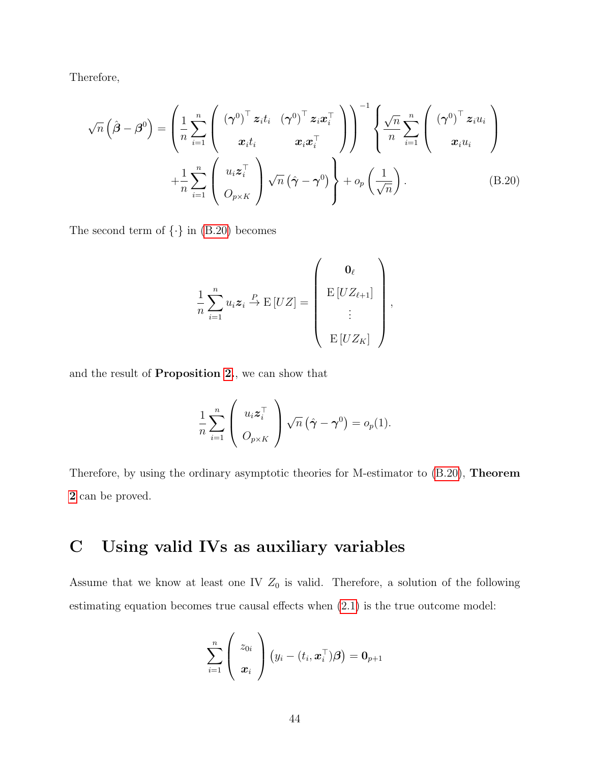Therefore,

$$
\sqrt{n}\left(\hat{\boldsymbol{\beta}}-\boldsymbol{\beta}^{0}\right)=\left(\frac{1}{n}\sum_{i=1}^{n}\left(\begin{array}{cc}(\boldsymbol{\gamma}^{0})^{\top}\boldsymbol{z}_{i}t_{i} & (\boldsymbol{\gamma}^{0})^{\top}\boldsymbol{z}_{i}\boldsymbol{x}_{i}^{\top}\\ \boldsymbol{x}_{i}t_{i} & \boldsymbol{x}_{i}\boldsymbol{x}_{i}^{\top}\\ +\frac{1}{n}\sum_{i=1}^{n}\left(\begin{array}{c}u_{i}\boldsymbol{z}_{i}^{\top}\\ \boldsymbol{0}_{p\times K}\end{array}\right)\sqrt{n}\left(\hat{\boldsymbol{\gamma}}-\boldsymbol{\gamma}^{0}\right)\right)^{-1}\left\{\frac{\sqrt{n}}{n}\sum_{i=1}^{n}\left(\begin{array}{c}(\boldsymbol{\gamma}^{0})^{\top}\boldsymbol{z}_{i}u_{i}\\ \boldsymbol{x}_{i}u_{i}\end{array}\right)\right.\right.
$$
\n(B.20)

The second term of  $\{\cdot\}$  in [\(B.20\)](#page-43-1) becomes

<span id="page-43-1"></span>
$$
\frac{1}{n}\sum_{i=1}^{n}u_{i}\mathbf{z}_{i}\stackrel{P}{\rightarrow}\mathrm{E}[UZ]=\left(\begin{array}{c} \mathbf{0}_{\ell} \\ \mathrm{E}[UZ_{\ell+1}] \\ \vdots \\ \mathrm{E}[UZ_{K}] \end{array}\right),
$$

and the result of Proposition [2.](#page-15-0), we can show that

$$
\frac{1}{n} \sum_{i=1}^{n} \left( u_i \mathbf{z}_i^{\top} \right) \sqrt{n} \left( \hat{\boldsymbol{\gamma}} - \boldsymbol{\gamma}^0 \right) = o_p(1).
$$

Therefore, by using the ordinary asymptotic theories for M-estimator to  $(B.20)$ , **Theorem** [2](#page-16-0) can be proved.

# <span id="page-43-0"></span>C Using valid IVs as auxiliary variables

Assume that we know at least one IV  $Z_0$  is valid. Therefore, a solution of the following estimating equation becomes true causal effects when [\(2.1\)](#page-5-0) is the true outcome model:

$$
\sum_{i=1}^n \left(\begin{array}{c} z_{0i} \\ \boldsymbol{x}_i \end{array}\right) \left(y_i - (t_i, \boldsymbol{x}_i^\top) \boldsymbol{\beta}\right) = \boldsymbol{0}_{p+1}
$$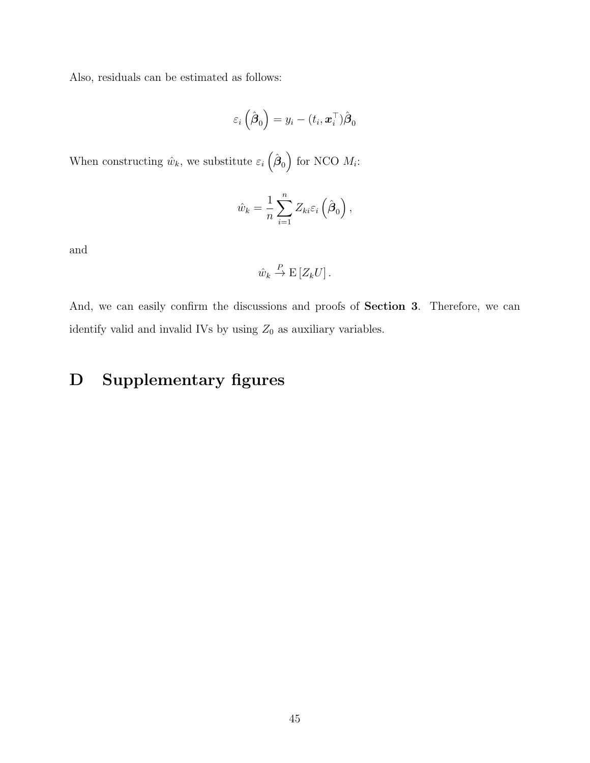Also, residuals can be estimated as follows:

$$
\varepsilon_i\left(\hat{\boldsymbol{\beta}}_0\right) = y_i - (t_i, \boldsymbol{x}_i^{\top})\hat{\boldsymbol{\beta}}_0
$$

When constructing  $\hat{w}_k$ , we substitute  $\varepsilon_i \left( \hat{\boldsymbol{\beta}}_0 \right)$  for NCO  $M_i$ :

$$
\hat{w}_k = \frac{1}{n} \sum_{i=1}^n Z_{ki} \varepsilon_i \left( \hat{\boldsymbol{\beta}}_0 \right),
$$

and

$$
\hat{w}_k \stackrel{P}{\to} \mathcal{E}\left[Z_k U\right].
$$

And, we can easily confirm the discussions and proofs of Section 3. Therefore, we can identify valid and invalid IVs by using  $Z_0$  as auxiliary variables.

# D Supplementary figures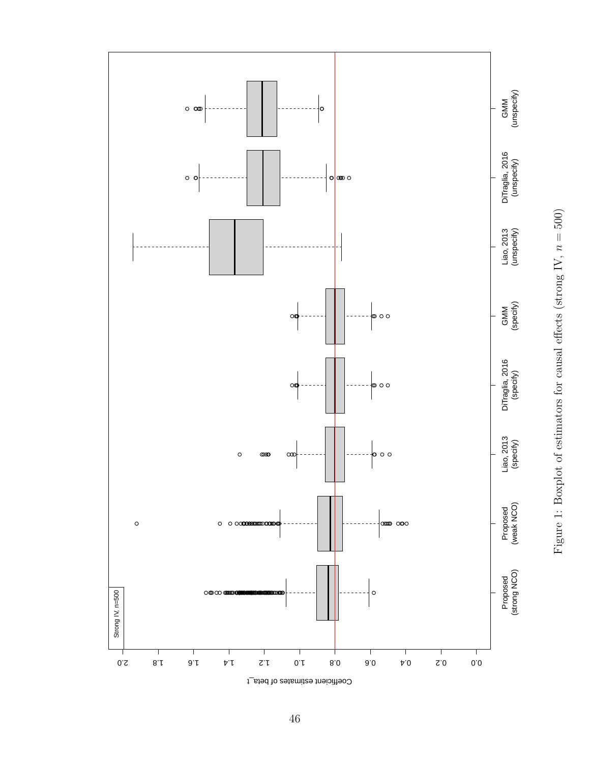

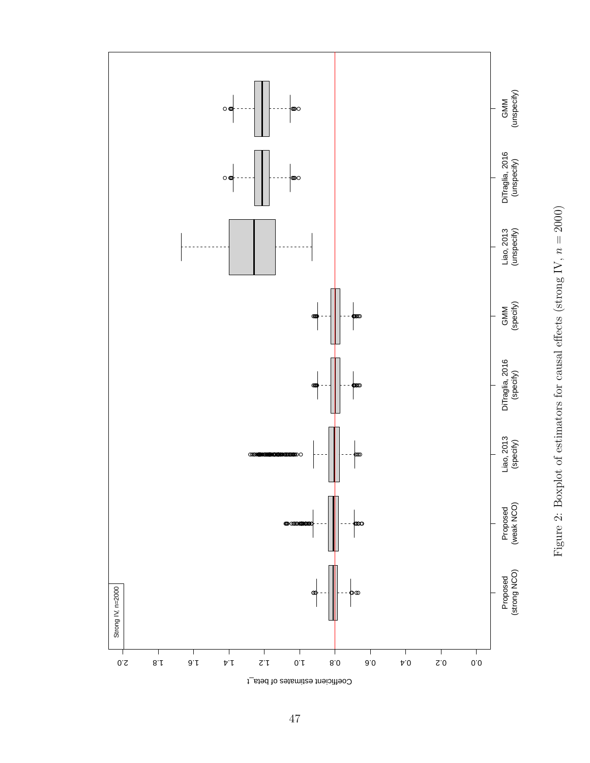

Figure 2: Boxplot of estimators for causal effects (strong IV,  $n = 2000$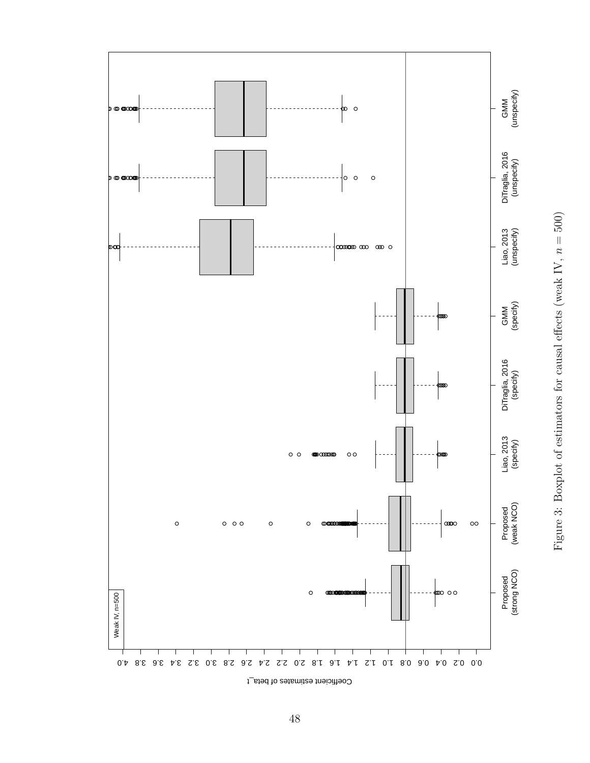